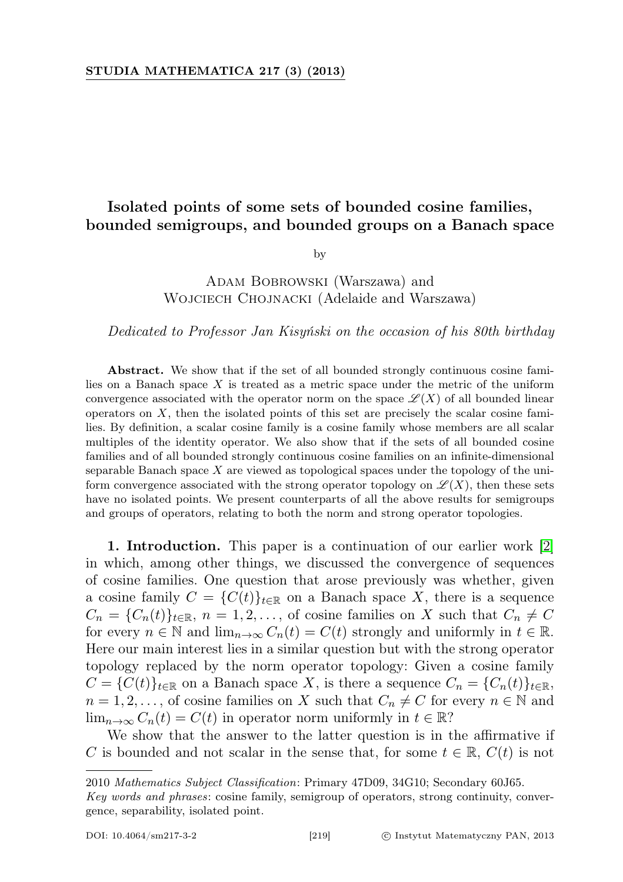## STUDIA MATHEMATICA 217 (3) (2013)

## Isolated points of some sets of bounded cosine families, bounded semigroups, and bounded groups on a Banach space

by

## ADAM BOBROWSKI (Warszawa) and Wojciech Chojnacki (Adelaide and Warszawa)

Dedicated to Professor Jan Kisyński on the occasion of his 80th birthday

Abstract. We show that if the set of all bounded strongly continuous cosine families on a Banach space  $X$  is treated as a metric space under the metric of the uniform convergence associated with the operator norm on the space  $\mathscr{L}(X)$  of all bounded linear operators on  $X$ , then the isolated points of this set are precisely the scalar cosine families. By definition, a scalar cosine family is a cosine family whose members are all scalar multiples of the identity operator. We also show that if the sets of all bounded cosine families and of all bounded strongly continuous cosine families on an infinite-dimensional separable Banach space  $X$  are viewed as topological spaces under the topology of the uniform convergence associated with the strong operator topology on  $\mathscr{L}(X)$ , then these sets have no isolated points. We present counterparts of all the above results for semigroups and groups of operators, relating to both the norm and strong operator topologies.

1. Introduction. This paper is a continuation of our earlier work [\[2\]](#page-21-0) in which, among other things, we discussed the convergence of sequences of cosine families. One question that arose previously was whether, given a cosine family  $C = \{C(t)\}_{t\in\mathbb{R}}$  on a Banach space X, there is a sequence  $C_n = \{C_n(t)\}_{t\in\mathbb{R}}, n = 1, 2, \ldots$ , of cosine families on X such that  $C_n \neq C$ for every  $n \in \mathbb{N}$  and  $\lim_{n \to \infty} C_n(t) = C(t)$  strongly and uniformly in  $t \in \mathbb{R}$ . Here our main interest lies in a similar question but with the strong operator topology replaced by the norm operator topology: Given a cosine family  $C = \{C(t)\}_{t\in\mathbb{R}}$  on a Banach space X, is there a sequence  $C_n = \{C_n(t)\}_{t\in\mathbb{R}}$ ,  $n = 1, 2, \ldots$ , of cosine families on X such that  $C_n \neq C$  for every  $n \in \mathbb{N}$  and  $\lim_{n\to\infty} C_n(t) = C(t)$  in operator norm uniformly in  $t \in \mathbb{R}$ ?

We show that the answer to the latter question is in the affirmative if C is bounded and not scalar in the sense that, for some  $t \in \mathbb{R}$ ,  $C(t)$  is not

<sup>2010</sup> Mathematics Subject Classification: Primary 47D09, 34G10; Secondary 60J65.

Key words and phrases: cosine family, semigroup of operators, strong continuity, convergence, separability, isolated point.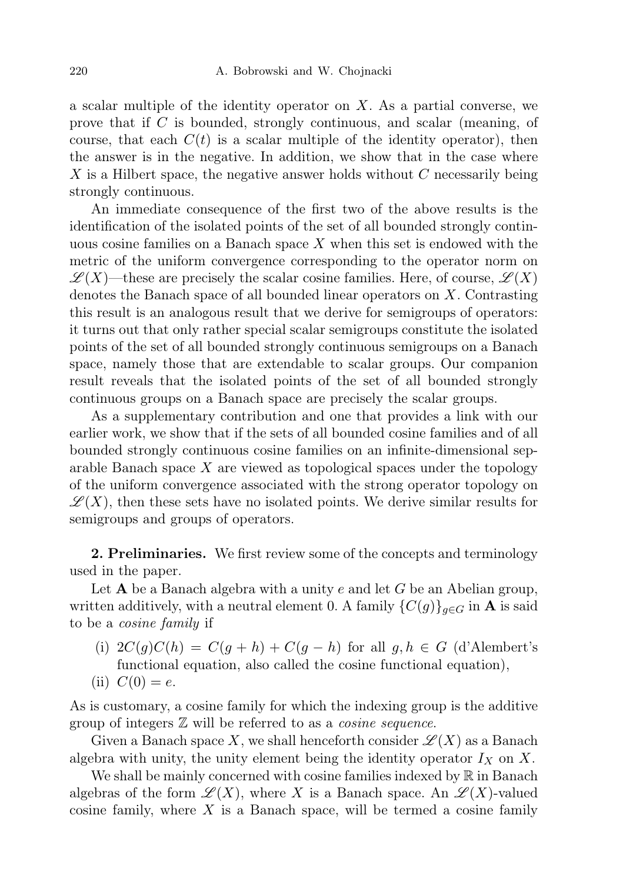a scalar multiple of the identity operator on  $X$ . As a partial converse, we prove that if C is bounded, strongly continuous, and scalar (meaning, of course, that each  $C(t)$  is a scalar multiple of the identity operator), then the answer is in the negative. In addition, we show that in the case where  $X$  is a Hilbert space, the negative answer holds without  $C$  necessarily being strongly continuous.

An immediate consequence of the first two of the above results is the identification of the isolated points of the set of all bounded strongly continuous cosine families on a Banach space  $X$  when this set is endowed with the metric of the uniform convergence corresponding to the operator norm on  $\mathscr{L}(X)$ —these are precisely the scalar cosine families. Here, of course,  $\mathscr{L}(X)$ denotes the Banach space of all bounded linear operators on X. Contrasting this result is an analogous result that we derive for semigroups of operators: it turns out that only rather special scalar semigroups constitute the isolated points of the set of all bounded strongly continuous semigroups on a Banach space, namely those that are extendable to scalar groups. Our companion result reveals that the isolated points of the set of all bounded strongly continuous groups on a Banach space are precisely the scalar groups.

As a supplementary contribution and one that provides a link with our earlier work, we show that if the sets of all bounded cosine families and of all bounded strongly continuous cosine families on an infinite-dimensional separable Banach space  $X$  are viewed as topological spaces under the topology of the uniform convergence associated with the strong operator topology on  $\mathscr{L}(X)$ , then these sets have no isolated points. We derive similar results for semigroups and groups of operators.

**2. Preliminaries.** We first review some of the concepts and terminology used in the paper.

Let  $A$  be a Banach algebra with a unity e and let G be an Abelian group, written additively, with a neutral element 0. A family  ${C(g)}_{g\in G}$  in **A** is said to be a cosine family if

- (i)  $2C(q)C(h) = C(q+h) + C(q-h)$  for all  $q, h \in G$  (d'Alembert's functional equation, also called the cosine functional equation),
- (ii)  $C(0) = e$ .

As is customary, a cosine family for which the indexing group is the additive group of integers  $\mathbb Z$  will be referred to as a *cosine sequence*.

Given a Banach space X, we shall henceforth consider  $\mathscr{L}(X)$  as a Banach algebra with unity, the unity element being the identity operator  $I_X$  on X.

We shall be mainly concerned with cosine families indexed by  $\mathbb R$  in Banach algebras of the form  $\mathscr{L}(X)$ , where X is a Banach space. An  $\mathscr{L}(X)$ -valued cosine family, where  $X$  is a Banach space, will be termed a cosine family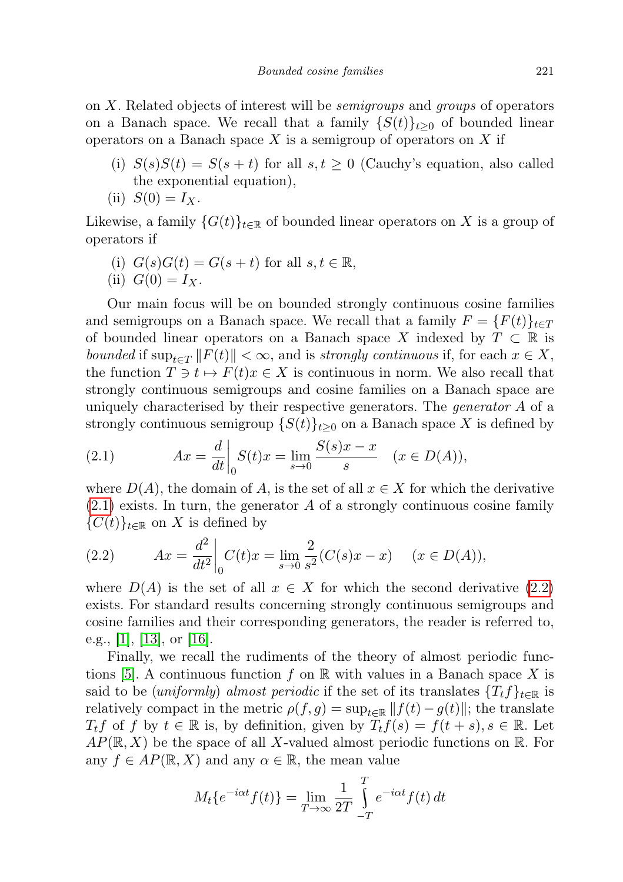on  $X$ . Related objects of interest will be *semigroups* and *groups* of operators on a Banach space. We recall that a family  $\{S(t)\}_{t\geq0}$  of bounded linear operators on a Banach space  $X$  is a semigroup of operators on  $X$  if

- (i)  $S(s)S(t) = S(s + t)$  for all  $s, t \geq 0$  (Cauchy's equation, also called the exponential equation),
- (ii)  $S(0) = I_X$ .

Likewise, a family  $\{G(t)\}_{t\in\mathbb{R}}$  of bounded linear operators on X is a group of operators if

- (i)  $G(s)G(t) = G(s+t)$  for all  $s, t \in \mathbb{R}$ ,
- (ii)  $G(0) = I_X$ .

Our main focus will be on bounded strongly continuous cosine families and semigroups on a Banach space. We recall that a family  $F = \{F(t)\}_{t\in\mathcal{T}}$ of bounded linear operators on a Banach space X indexed by  $T \subset \mathbb{R}$  is bounded if  $\sup_{t\in\mathcal{T}}\|F(t)\|<\infty$ , and is strongly continuous if, for each  $x\in X$ , the function  $T \ni t \mapsto F(t)x \in X$  is continuous in norm. We also recall that strongly continuous semigroups and cosine families on a Banach space are uniquely characterised by their respective generators. The *generator*  $A$  of a strongly continuous semigroup  $\{S(t)\}_{t\geq0}$  on a Banach space X is defined by

<span id="page-2-0"></span>(2.1) 
$$
Ax = \frac{d}{dt}\bigg|_{0} S(t)x = \lim_{s \to 0} \frac{S(s)x - x}{s} \quad (x \in D(A)),
$$

where  $D(A)$ , the domain of A, is the set of all  $x \in X$  for which the derivative  $(2.1)$  exists. In turn, the generator A of a strongly continuous cosine family  $\{C(t)\}_{t\in\mathbb{R}}$  on X is defined by

<span id="page-2-1"></span>(2.2) 
$$
Ax = \frac{d^2}{dt^2}\bigg|_0 C(t)x = \lim_{s \to 0} \frac{2}{s^2}(C(s)x - x) \quad (x \in D(A)),
$$

where  $D(A)$  is the set of all  $x \in X$  for which the second derivative [\(2.2\)](#page-2-1) exists. For standard results concerning strongly continuous semigroups and cosine families and their corresponding generators, the reader is referred to, e.g., [\[1\]](#page-21-1), [\[13\]](#page-21-2), or [\[16\]](#page-21-3).

Finally, we recall the rudiments of the theory of almost periodic func-tions [\[5\]](#page-21-4). A continuous function f on  $\mathbb R$  with values in a Banach space X is said to be (uniformly) almost periodic if the set of its translates  $\{T_t\}_{t\in\mathbb{R}}$  is relatively compact in the metric  $\rho(f,g) = \sup_{t \in \mathbb{R}} ||f(t) - g(t)||$ ; the translate  $T_t f$  of f by  $t \in \mathbb{R}$  is, by definition, given by  $T_t f(s) = f(t+s), s \in \mathbb{R}$ . Let  $AP(\mathbb{R}, X)$  be the space of all X-valued almost periodic functions on  $\mathbb{R}$ . For any  $f \in AP(\mathbb{R}, X)$  and any  $\alpha \in \mathbb{R}$ , the mean value

$$
M_t\{e^{-i\alpha t}f(t)\} = \lim_{T \to \infty} \frac{1}{2T} \int_{-T}^{T} e^{-i\alpha t}f(t) dt
$$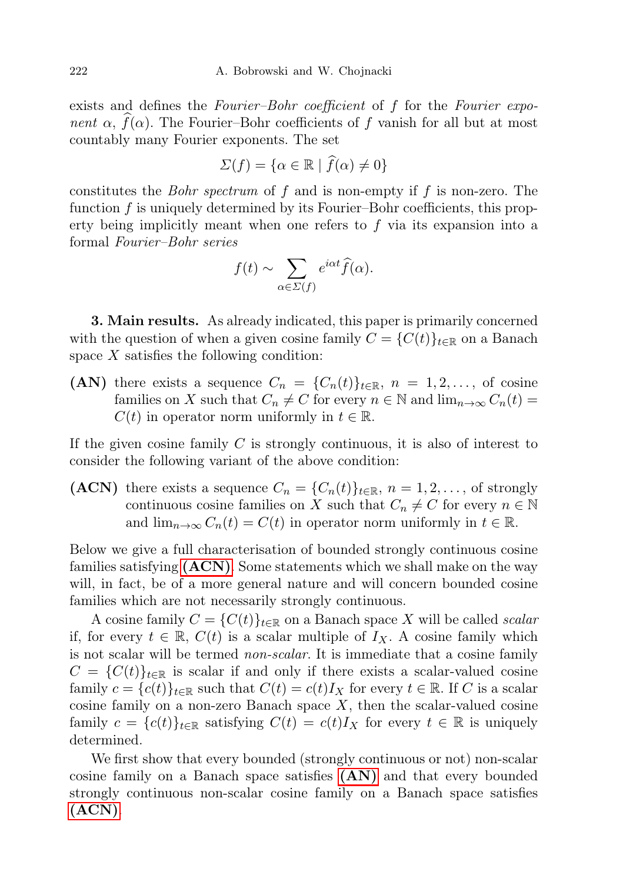exists and defines the Fourier–Bohr coefficient of f for the Fourier exponent  $\alpha$ ,  $\hat{f}(\alpha)$ . The Fourier–Bohr coefficients of f vanish for all but at most countably many Fourier exponents. The set

$$
\Sigma(f) = \{ \alpha \in \mathbb{R} \mid \widehat{f}(\alpha) \neq 0 \}
$$

constitutes the *Bohr spectrum* of f and is non-empty if f is non-zero. The function  $f$  is uniquely determined by its Fourier–Bohr coefficients, this property being implicitly meant when one refers to  $f$  via its expansion into a formal Fourier–Bohr series

$$
f(t) \sim \sum_{\alpha \in \Sigma(f)} e^{i\alpha t} \hat{f}(\alpha).
$$

3. Main results. As already indicated, this paper is primarily concerned with the question of when a given cosine family  $C = \{C(t)\}_{t\in\mathbb{R}}$  on a Banach space  $X$  satisfies the following condition:

<span id="page-3-1"></span>(AN) there exists a sequence  $C_n = \{C_n(t)\}_{t\in\mathbb{R}}$ ,  $n = 1, 2, \ldots$ , of cosine families on X such that  $C_n \neq C$  for every  $n \in \mathbb{N}$  and  $\lim_{n \to \infty} C_n(t) =$  $C(t)$  in operator norm uniformly in  $t \in \mathbb{R}$ .

If the given cosine family  $C$  is strongly continuous, it is also of interest to consider the following variant of the above condition:

<span id="page-3-0"></span>(ACN) there exists a sequence  $C_n = \{C_n(t)\}_{t\in\mathbb{R}}$ ,  $n = 1, 2, \ldots$ , of strongly continuous cosine families on X such that  $C_n \neq C$  for every  $n \in \mathbb{N}$ and  $\lim_{n\to\infty}C_n(t)=C(t)$  in operator norm uniformly in  $t\in\mathbb{R}$ .

Below we give a full characterisation of bounded strongly continuous cosine families satisfying [\(ACN\)](#page-3-0). Some statements which we shall make on the way will, in fact, be of a more general nature and will concern bounded cosine families which are not necessarily strongly continuous.

A cosine family  $C = \{C(t)\}_{t\in\mathbb{R}}$  on a Banach space X will be called scalar if, for every  $t \in \mathbb{R}$ ,  $C(t)$  is a scalar multiple of  $I_X$ . A cosine family which is not scalar will be termed non-scalar. It is immediate that a cosine family  $C = \{C(t)\}_{t\in\mathbb{R}}$  is scalar if and only if there exists a scalar-valued cosine family  $c = \{c(t)\}_{t\in\mathbb{R}}$  such that  $C(t) = c(t)I_X$  for every  $t \in \mathbb{R}$ . If C is a scalar cosine family on a non-zero Banach space  $X$ , then the scalar-valued cosine family  $c = \{c(t)\}_{t\in\mathbb{R}}$  satisfying  $C(t) = c(t)I_X$  for every  $t \in \mathbb{R}$  is uniquely determined.

We first show that every bounded (strongly continuous or not) non-scalar cosine family on a Banach space satisfies [\(AN\)](#page-3-1) and that every bounded strongly continuous non-scalar cosine family on a Banach space satisfies  $(ACN)$ .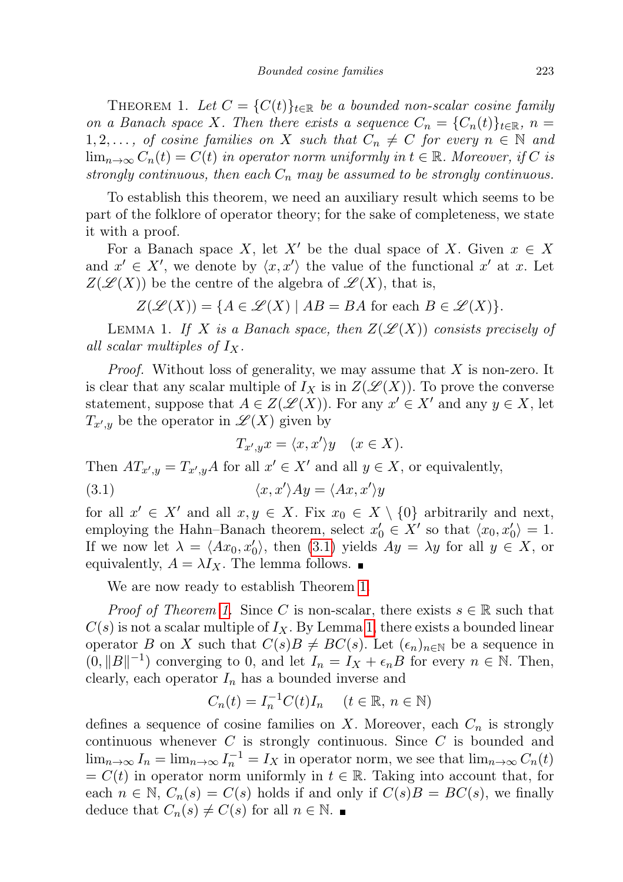<span id="page-4-1"></span>THEOREM 1. Let  $C = \{C(t)\}_{t \in \mathbb{R}}$  be a bounded non-scalar cosine family on a Banach space X. Then there exists a sequence  $C_n = \{C_n(t)\}_{t \in \mathbb{R}}$ ,  $n =$ 1, 2, ..., of cosine families on X such that  $C_n \neq C$  for every  $n \in \mathbb{N}$  and  $\lim_{n\to\infty}C_n(t)=C(t)$  in operator norm uniformly in  $t\in\mathbb{R}$ . Moreover, if C is strongly continuous, then each  $C_n$  may be assumed to be strongly continuous.

To establish this theorem, we need an auxiliary result which seems to be part of the folklore of operator theory; for the sake of completeness, we state it with a proof.

For a Banach space X, let X' be the dual space of X. Given  $x \in X$ and  $x' \in X'$ , we denote by  $\langle x, x' \rangle$  the value of the functional  $x'$  at x. Let  $Z(\mathscr{L}(X))$  be the centre of the algebra of  $\mathscr{L}(X)$ , that is,

 $Z(\mathscr{L}(X)) = \{A \in \mathscr{L}(X) \mid AB = BA \text{ for each } B \in \mathscr{L}(X)\}.$ 

<span id="page-4-2"></span>LEMMA 1. If X is a Banach space, then  $Z(\mathscr{L}(X))$  consists precisely of all scalar multiples of  $I_X$ .

*Proof.* Without loss of generality, we may assume that  $X$  is non-zero. It is clear that any scalar multiple of  $I_X$  is in  $Z(\mathscr{L}(X))$ . To prove the converse statement, suppose that  $A \in Z(\mathscr{L}(X))$ . For any  $x' \in X'$  and any  $y \in X$ , let  $T_{x',y}$  be the operator in  $\mathscr{L}(X)$  given by

<span id="page-4-0"></span>
$$
T_{x',y}x = \langle x, x' \rangle y \quad (x \in X).
$$

Then  $AT_{x',y} = T_{x',y}A$  for all  $x' \in X'$  and all  $y \in X$ , or equivalently,

(3.1) 
$$
\langle x, x' \rangle Ay = \langle Ax, x' \rangle y
$$

for all  $x' \in X'$  and all  $x, y \in X$ . Fix  $x_0 \in X \setminus \{0\}$  arbitrarily and next, employing the Hahn–Banach theorem, select  $x_0' \in X'$  so that  $\langle x_0, x_0' \rangle = 1$ . If we now let  $\lambda = \langle Ax_0, x'_0 \rangle$ , then [\(3.1\)](#page-4-0) yields  $Ay = \lambda y$  for all  $y \in X$ , or equivalently,  $A = \lambda I_X$ . The lemma follows.

We are now ready to establish Theorem [1.](#page-4-1)

*Proof of Theorem [1.](#page-4-1)* Since C is non-scalar, there exists  $s \in \mathbb{R}$  such that  $C(s)$  is not a scalar multiple of  $I_X$ . By Lemma [1,](#page-4-2) there exists a bounded linear operator B on X such that  $C(s)B \neq BC(s)$ . Let  $(\epsilon_n)_{n \in \mathbb{N}}$  be a sequence in  $(0, ||B||^{-1})$  converging to 0, and let  $I_n = I_X + \epsilon_n B$  for every  $n \in \mathbb{N}$ . Then, clearly, each operator  $I_n$  has a bounded inverse and

$$
C_n(t) = I_n^{-1} C(t) I_n \quad (t \in \mathbb{R}, n \in \mathbb{N})
$$

defines a sequence of cosine families on X. Moreover, each  $C_n$  is strongly continuous whenever  $C$  is strongly continuous. Since  $C$  is bounded and  $\lim_{n\to\infty} I_n = \lim_{n\to\infty} I_n^{-1} = I_X$  in operator norm, we see that  $\lim_{n\to\infty} C_n(t)$  $= C(t)$  in operator norm uniformly in  $t \in \mathbb{R}$ . Taking into account that, for each  $n \in \mathbb{N}$ ,  $C_n(s) = C(s)$  holds if and only if  $C(s)B = BC(s)$ , we finally deduce that  $C_n(s) \neq C(s)$  for all  $n \in \mathbb{N}$ .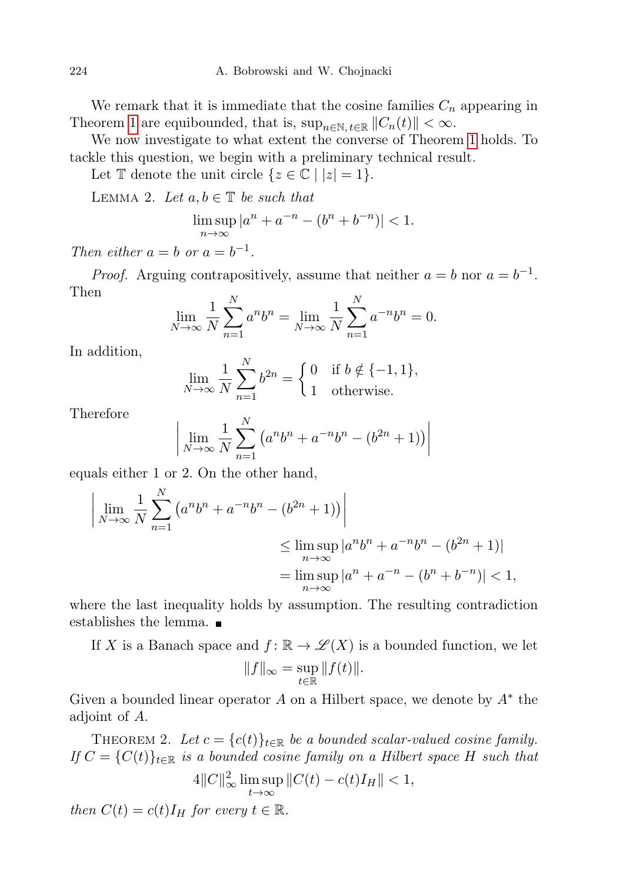We remark that it is immediate that the cosine families  $C_n$  appearing in Theorem [1](#page-4-1) are equibounded, that is,  $\sup_{n\in\mathbb{N}}||C_n(t)|| < \infty$ .

We now investigate to what extent the converse of Theorem [1](#page-4-1) holds. To tackle this question, we begin with a preliminary technical result.

Let  $\mathbb T$  denote the unit circle  $\{z \in \mathbb C \mid |z|=1\}.$ 

<span id="page-5-0"></span>LEMMA 2. Let  $a, b \in \mathbb{T}$  be such that

$$
\limsup_{n \to \infty} |a^n + a^{-n} - (b^n + b^{-n})| < 1.
$$

Then either  $a = b$  or  $a = b^{-1}$ .

*Proof.* Arguing contrapositively, assume that neither  $a = b$  nor  $a = b^{-1}$ . Then  $\lambda$ r N

$$
\lim_{N \to \infty} \frac{1}{N} \sum_{n=1}^{N} a^{n} b^{n} = \lim_{N \to \infty} \frac{1}{N} \sum_{n=1}^{N} a^{-n} b^{n} = 0.
$$

In addition,

$$
\lim_{N \to \infty} \frac{1}{N} \sum_{n=1}^{N} b^{2n} = \begin{cases} 0 & \text{if } b \notin \{-1, 1\}, \\ 1 & \text{otherwise.} \end{cases}
$$

Therefore

$$
\left| \lim_{N \to \infty} \frac{1}{N} \sum_{n=1}^{N} \left( a^n b^n + a^{-n} b^n - (b^{2n} + 1) \right) \right|
$$

equals either 1 or 2. On the other hand,

 $\lambda$ 

$$
\left| \lim_{N \to \infty} \frac{1}{N} \sum_{n=1}^{N} \left( a^n b^n + a^{-n} b^n - (b^{2n} + 1) \right) \right|
$$
  
\n
$$
\leq \limsup_{n \to \infty} |a^n b^n + a^{-n} b^n - (b^{2n} + 1)|
$$
  
\n
$$
= \limsup_{n \to \infty} |a^n + a^{-n} - (b^n + b^{-n})| < 1,
$$

where the last inequality holds by assumption. The resulting contradiction establishes the lemma.

If X is a Banach space and  $f: \mathbb{R} \to \mathscr{L}(X)$  is a bounded function, we let  $||f||_{\infty} = \sup_{t \in \mathbb{R}}$  $||f(t)||.$ 

Given a bounded linear operator  $A$  on a Hilbert space, we denote by  $A^*$  the adjoint of A.

<span id="page-5-1"></span>THEOREM 2. Let  $c = \{c(t)\}_{t \in \mathbb{R}}$  be a bounded scalar-valued cosine family. If  $C = {C(t)}_{t \in \mathbb{R}}$  is a bounded cosine family on a Hilbert space H such that

$$
4||C||_{\infty}^2 \limsup_{t \to \infty} ||C(t) - c(t)I_H|| < 1,
$$

then  $C(t) = c(t)I_H$  for every  $t \in \mathbb{R}$ .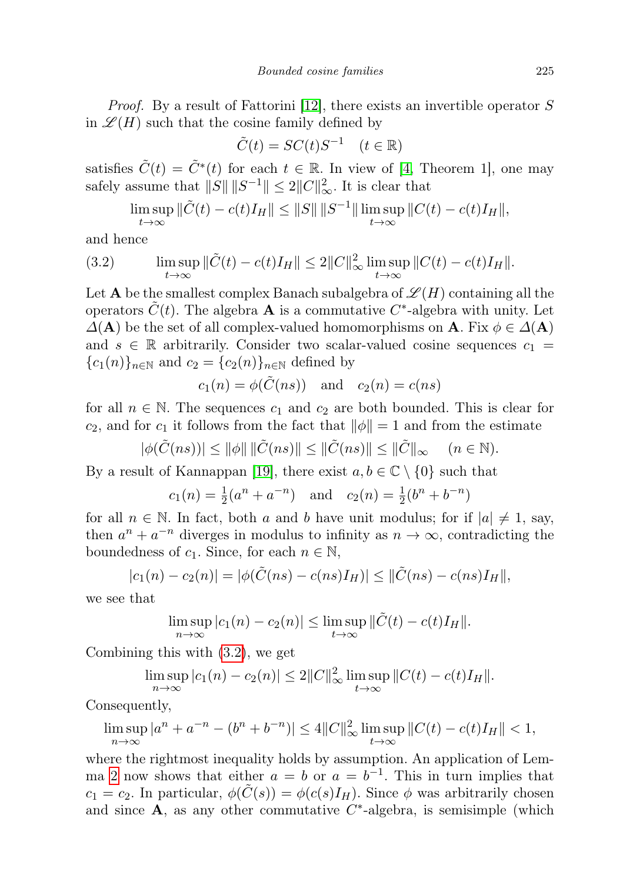*Proof.* By a result of Fattorini [\[12\]](#page-21-5), there exists an invertible operator  $S$ in  $\mathscr{L}(H)$  such that the cosine family defined by

$$
\tilde{C}(t) = SC(t)S^{-1} \quad (t \in \mathbb{R})
$$

satisfies  $\tilde{C}(t) = \tilde{C}^*(t)$  for each  $t \in \mathbb{R}$ . In view of [\[4,](#page-21-6) Theorem 1], one may safely assume that  $||S|| ||S^{-1}|| \le 2||C||_{\infty}^2$ . It is clear that

<span id="page-6-0"></span>
$$
\limsup_{t \to \infty} \|\tilde{C}(t) - c(t)I_H\| \le \|S\| \|S^{-1}\| \limsup_{t \to \infty} \|C(t) - c(t)I_H\|,
$$

and hence

(3.2) 
$$
\limsup_{t \to \infty} \|\tilde{C}(t) - c(t)I_H\| \le 2\|C\|_{\infty}^2 \limsup_{t \to \infty} \|C(t) - c(t)I_H\|.
$$

Let **A** be the smallest complex Banach subalgebra of  $\mathcal{L}(H)$  containing all the operators  $\tilde{C}(t)$ . The algebra **A** is a commutative C<sup>\*</sup>-algebra with unity. Let  $\Delta(A)$  be the set of all complex-valued homomorphisms on **A**. Fix  $\phi \in \Delta(A)$ and  $s \in \mathbb{R}$  arbitrarily. Consider two scalar-valued cosine sequences  $c_1 =$  ${c_1(n)}_{n\in\mathbb{N}}$  and  $c_2={c_2(n)}_{n\in\mathbb{N}}$  defined by

$$
c_1(n) = \phi(\tilde{C}(ns))
$$
 and  $c_2(n) = c(ns)$ 

for all  $n \in \mathbb{N}$ . The sequences  $c_1$  and  $c_2$  are both bounded. This is clear for  $c_2$ , and for  $c_1$  it follows from the fact that  $\|\phi\| = 1$  and from the estimate

$$
|\phi(\tilde{C}(ns))| \le ||\phi|| \, ||\tilde{C}(ns)|| \le ||\tilde{C}(ns)|| \le ||\tilde{C}||_{\infty} \quad (n \in \mathbb{N}).
$$

By a result of Kannappan [\[19\]](#page-22-0), there exist  $a, b \in \mathbb{C} \setminus \{0\}$  such that

$$
c_1(n) = \frac{1}{2}(a^n + a^{-n})
$$
 and  $c_2(n) = \frac{1}{2}(b^n + b^{-n})$ 

for all  $n \in \mathbb{N}$ . In fact, both a and b have unit modulus; for if  $|a| \neq 1$ , say, then  $a^n + a^{-n}$  diverges in modulus to infinity as  $n \to \infty$ , contradicting the boundedness of  $c_1$ . Since, for each  $n \in \mathbb{N}$ ,

$$
|c_1(n) - c_2(n)| = |\phi(\tilde{C}(ns) - c(ns)I_H)| \le ||\tilde{C}(ns) - c(ns)I_H||,
$$

we see that

$$
\limsup_{n\to\infty}|c_1(n)-c_2(n)|\leq \limsup_{t\to\infty}\|\tilde{C}(t)-c(t)I_H\|.
$$

Combining this with [\(3.2\)](#page-6-0), we get

$$
\limsup_{n \to \infty} |c_1(n) - c_2(n)| \le 2||C||_{\infty}^2 \limsup_{t \to \infty} ||C(t) - c(t)I_H||.
$$

Consequently,

$$
\limsup_{n \to \infty} |a^n + a^{-n} - (b^n + b^{-n})| \le 4 ||C||_{\infty}^2 \limsup_{t \to \infty} ||C(t) - c(t)I_H|| < 1,
$$

where the rightmost inequality holds by assumption. An application of Lem-ma [2](#page-5-0) now shows that either  $a = b$  or  $a = b^{-1}$ . This in turn implies that  $c_1 = c_2$ . In particular,  $\phi(C(s)) = \phi(c(s)I_H)$ . Since  $\phi$  was arbitrarily chosen and since  $\mathbf{A}$ , as any other commutative  $C^*$ -algebra, is semisimple (which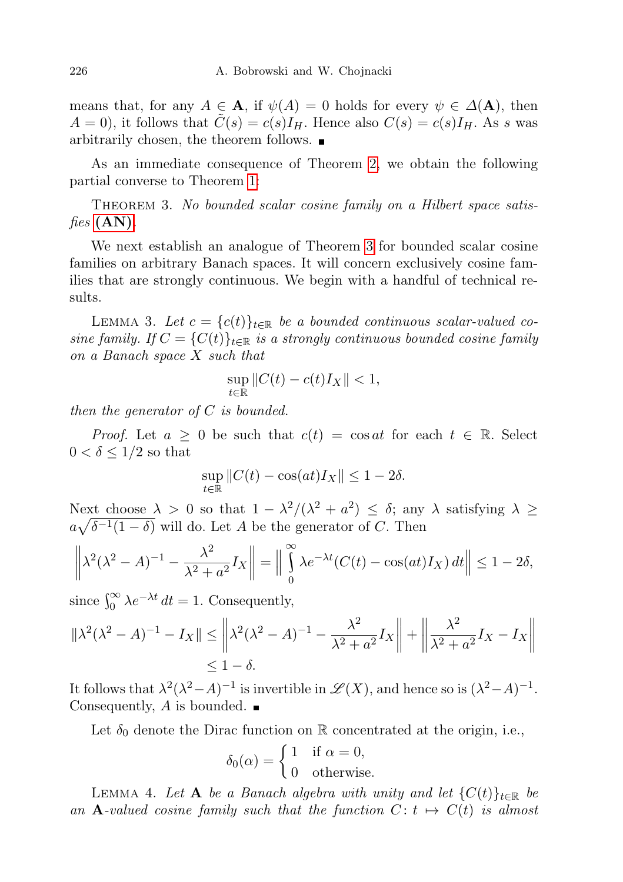means that, for any  $A \in \mathbf{A}$ , if  $\psi(A) = 0$  holds for every  $\psi \in \Delta(\mathbf{A})$ , then  $A = 0$ , it follows that  $C(s) = c(s)I_H$ . Hence also  $C(s) = c(s)I_H$ . As s was arbitrarily chosen, the theorem follows.

As an immediate consequence of Theorem [2,](#page-5-1) we obtain the following partial converse to Theorem [1:](#page-4-1)

<span id="page-7-0"></span>THEOREM 3. No bounded scalar cosine family on a Hilbert space satisfies  $(AN)$ .

We next establish an analogue of Theorem [3](#page-7-0) for bounded scalar cosine families on arbitrary Banach spaces. It will concern exclusively cosine families that are strongly continuous. We begin with a handful of technical results.

<span id="page-7-2"></span>LEMMA 3. Let  $c = \{c(t)\}_{t \in \mathbb{R}}$  be a bounded continuous scalar-valued cosine family. If  $C = {C(t)}_{t \in \mathbb{R}}$  is a strongly continuous bounded cosine family on a Banach space X such that

$$
\sup_{t \in \mathbb{R}} \|C(t) - c(t)I_X\| < 1,
$$

then the generator of  $C$  is bounded.

*Proof.* Let  $a \geq 0$  be such that  $c(t) = \cos at$  for each  $t \in \mathbb{R}$ . Select  $0 < \delta \leq 1/2$  so that

$$
\sup_{t \in \mathbb{R}} \|C(t) - \cos(at)I_X\| \le 1 - 2\delta.
$$

Next choose  $\lambda > 0$  so that  $1 - \lambda^2/(\lambda^2 + a^2) \leq \delta$ ; any  $\lambda$  satisfying  $\lambda \geq$  $a\sqrt{\delta^{-1}(1-\delta)}$  will do. Let A be the generator of C. Then

$$
\left\|\lambda^2(\lambda^2 - A)^{-1} - \frac{\lambda^2}{\lambda^2 + a^2}I_X\right\| = \left\|\int_0^\infty \lambda e^{-\lambda t} (C(t) - \cos(at)I_X) dt\right\| \le 1 - 2\delta,
$$

since  $\int_0^\infty \lambda e^{-\lambda t} dt = 1$ . Consequently,

$$
\|\lambda^{2}(\lambda^{2} - A)^{-1} - I_{X}\| \le \left\|\lambda^{2}(\lambda^{2} - A)^{-1} - \frac{\lambda^{2}}{\lambda^{2} + a^{2}}I_{X}\right\| + \left\|\frac{\lambda^{2}}{\lambda^{2} + a^{2}}I_{X} - I_{X}\right\|
$$
  
\$\leq 1 - \delta\$.

It follows that  $\lambda^2(\lambda^2 - A)^{-1}$  is invertible in  $\mathscr{L}(X)$ , and hence so is  $(\lambda^2 - A)^{-1}$ . Consequently, A is bounded.  $\blacksquare$ 

Let  $\delta_0$  denote the Dirac function on  $\mathbb R$  concentrated at the origin, i.e.,

$$
\delta_0(\alpha) = \begin{cases} 1 & \text{if } \alpha = 0, \\ 0 & \text{otherwise.} \end{cases}
$$

<span id="page-7-1"></span>LEMMA 4. Let **A** be a Banach algebra with unity and let  $\{C(t)\}_{t\in\mathbb{R}}$  be an A-valued cosine family such that the function  $C: t \mapsto C(t)$  is almost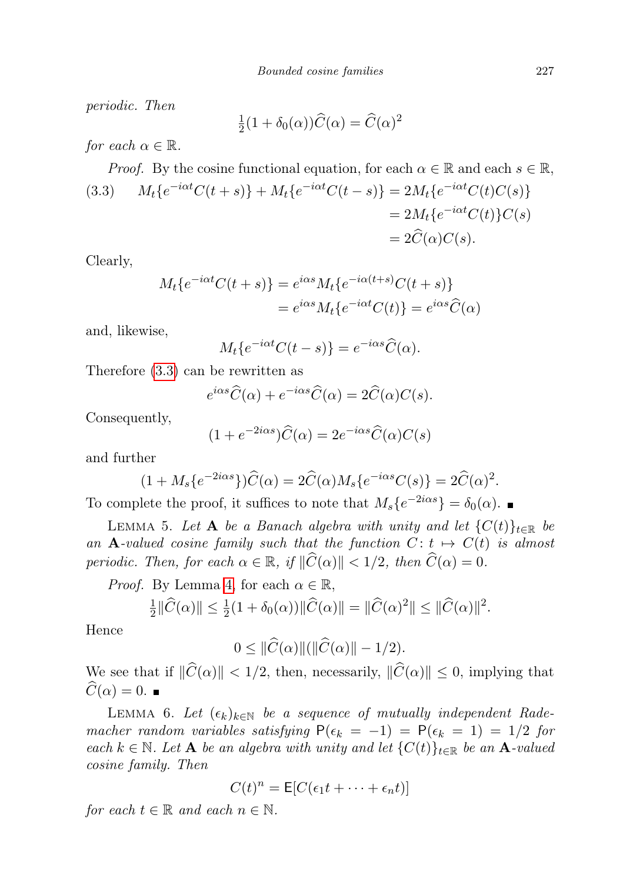periodic. Then

$$
\frac{1}{2}(1+\delta_0(\alpha))\widehat{C}(\alpha) = \widehat{C}(\alpha)^2
$$

for each  $\alpha \in \mathbb{R}$ .

*Proof.* By the cosine functional equation, for each  $\alpha \in \mathbb{R}$  and each  $s \in \mathbb{R}$ ,

<span id="page-8-0"></span>(3.3) 
$$
M_t\{e^{-i\alpha t}C(t+s)\} + M_t\{e^{-i\alpha t}C(t-s)\} = 2M_t\{e^{-i\alpha t}C(t)C(s)\}
$$

$$
= 2M_t\{e^{-i\alpha t}C(t)\}C(s)
$$

$$
= 2\widehat{C}(\alpha)C(s).
$$

Clearly,

$$
M_t\{e^{-i\alpha t}C(t+s)\} = e^{i\alpha s}M_t\{e^{-i\alpha(t+s)}C(t+s)\}
$$
  
= 
$$
e^{i\alpha s}M_t\{e^{-i\alpha t}C(t)\} = e^{i\alpha s}\widehat{C}(\alpha)
$$

and, likewise,

$$
M_t\{e^{-i\alpha t}C(t-s)\}=e^{-i\alpha s}\widehat{C}(\alpha).
$$

Therefore [\(3.3\)](#page-8-0) can be rewritten as

$$
e^{i\alpha s}\widehat{C}(\alpha) + e^{-i\alpha s}\widehat{C}(\alpha) = 2\widehat{C}(\alpha)C(s).
$$

Consequently,

$$
(1 + e^{-2i\alpha s})\widehat{C}(\alpha) = 2e^{-i\alpha s}\widehat{C}(\alpha)C(s)
$$

and further

$$
(1 + M_s \{e^{-2i\alpha s}\})\widehat{C}(\alpha) = 2\widehat{C}(\alpha)M_s \{e^{-i\alpha s}C(s)\} = 2\widehat{C}(\alpha)^2.
$$

To complete the proof, it suffices to note that  $M_s\{e^{-2i\alpha s}\} = \delta_0(\alpha)$ .

<span id="page-8-2"></span>LEMMA 5. Let **A** be a Banach algebra with unity and let  $\{C(t)\}_{t\in\mathbb{R}}$  be an A-valued cosine family such that the function  $C: t \mapsto C(t)$  is almost periodic. Then, for each  $\alpha \in \mathbb{R}$ , if  $\|\widehat{C}(\alpha)\| < 1/2$ , then  $\widehat{C}(\alpha) = 0$ .

*Proof.* By Lemma [4,](#page-7-1) for each  $\alpha \in \mathbb{R}$ ,

$$
\frac{1}{2} \|\widehat{C}(\alpha)\| \le \frac{1}{2} (1 + \delta_0(\alpha)) \|\widehat{C}(\alpha)\| = \|\widehat{C}(\alpha)^2\| \le \|\widehat{C}(\alpha)\|^2.
$$

Hence

$$
0 \leq \|\widehat{C}(\alpha)\| (\|\widehat{C}(\alpha)\| - 1/2).
$$

We see that if  $\|\widehat{C}(\alpha)\| < 1/2$ , then, necessarily,  $\|\widehat{C}(\alpha)\| \leq 0$ , implying that  $\widehat{C}(\alpha) = 0$ .

<span id="page-8-1"></span>LEMMA 6. Let  $(\epsilon_k)_{k\in\mathbb{N}}$  be a sequence of mutually independent Rademacher random variables satisfying  $P(\epsilon_k = -1) = P(\epsilon_k = 1) = 1/2$  for each  $k \in \mathbb{N}$ . Let **A** be an algebra with unity and let  $\{C(t)\}_{t \in \mathbb{R}}$  be an **A**-valued cosine family. Then

$$
C(t)^n = \mathsf{E}[C(\epsilon_1 t + \cdots + \epsilon_n t)]
$$

for each  $t \in \mathbb{R}$  and each  $n \in \mathbb{N}$ .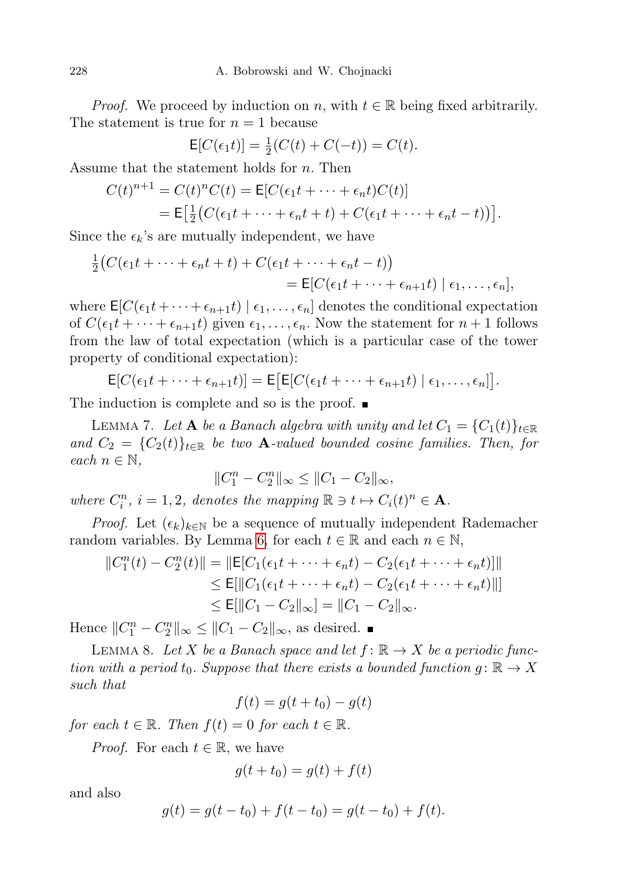*Proof.* We proceed by induction on n, with  $t \in \mathbb{R}$  being fixed arbitrarily. The statement is true for  $n = 1$  because

$$
E[C(\epsilon_1 t)] = \frac{1}{2}(C(t) + C(-t)) = C(t).
$$

Assume that the statement holds for n. Then

$$
C(t)^{n+1} = C(t)^n C(t) = \mathbb{E}[C(\epsilon_1 t + \dots + \epsilon_n t)C(t)]
$$
  
= 
$$
\mathbb{E}[\frac{1}{2}(C(\epsilon_1 t + \dots + \epsilon_n t + t) + C(\epsilon_1 t + \dots + \epsilon_n t - t))].
$$

Since the  $\epsilon_k$ 's are mutually independent, we have

$$
\frac{1}{2}(C(\epsilon_1 t + \dots + \epsilon_n t + t) + C(\epsilon_1 t + \dots + \epsilon_n t - t))
$$
  
=  $E[C(\epsilon_1 t + \dots + \epsilon_{n+1} t) | \epsilon_1, \dots, \epsilon_n],$ 

where  $\mathsf{E}[C(\epsilon_1 t + \cdots + \epsilon_{n+1}t) | \epsilon_1, \ldots, \epsilon_n]$  denotes the conditional expectation of  $C(\epsilon_1 t + \cdots + \epsilon_{n+1} t)$  given  $\epsilon_1, \ldots, \epsilon_n$ . Now the statement for  $n+1$  follows from the law of total expectation (which is a particular case of the tower property of conditional expectation):

$$
\mathsf{E}[C(\epsilon_1 t + \cdots + \epsilon_{n+1} t)] = \mathsf{E}[\mathsf{E}[C(\epsilon_1 t + \cdots + \epsilon_{n+1} t) | \epsilon_1, \ldots, \epsilon_n]].
$$

The induction is complete and so is the proof.  $\blacksquare$ 

<span id="page-9-1"></span>LEMMA 7. Let **A** be a Banach algebra with unity and let  $C_1 = \{C_1(t)\}_{t\in\mathbb{R}}$ and  $C_2 = \{C_2(t)\}_{t\in\mathbb{R}}$  be two A-valued bounded cosine families. Then, for each  $n \in \mathbb{N}$ ,

$$
||C_1^n - C_2^n||_{\infty} \le ||C_1 - C_2||_{\infty},
$$

where  $C_i^n$ ,  $i = 1, 2$ , denotes the mapping  $\mathbb{R} \ni t \mapsto C_i(t)^n \in \mathbf{A}$ .

*Proof.* Let  $(\epsilon_k)_{k\in\mathbb{N}}$  be a sequence of mutually independent Rademacher random variables. By Lemma [6,](#page-8-1) for each  $t \in \mathbb{R}$  and each  $n \in \mathbb{N}$ ,

$$
||C_1^n(t) - C_2^n(t)|| = ||\mathsf{E}[C_1(\epsilon_1 t + \dots + \epsilon_n t) - C_2(\epsilon_1 t + \dots + \epsilon_n t)]||
$$
  
\n
$$
\leq \mathsf{E}[||C_1(\epsilon_1 t + \dots + \epsilon_n t) - C_2(\epsilon_1 t + \dots + \epsilon_n t)||]
$$
  
\n
$$
\leq \mathsf{E}[||C_1 - C_2||_{\infty}] = ||C_1 - C_2||_{\infty}.
$$

Hence  $||C_1^n - C_2^n||_{\infty} \le ||C_1 - C_2||_{\infty}$ , as desired.

<span id="page-9-0"></span>LEMMA 8. Let X be a Banach space and let  $f: \mathbb{R} \to X$  be a periodic function with a period  $t_0$ . Suppose that there exists a bounded function  $g: \mathbb{R} \to X$ such that

$$
f(t) = g(t + t_0) - g(t)
$$

for each  $t \in \mathbb{R}$ . Then  $f(t) = 0$  for each  $t \in \mathbb{R}$ .

*Proof.* For each  $t \in \mathbb{R}$ , we have

$$
g(t + t_0) = g(t) + f(t)
$$

and also

$$
g(t) = g(t - t_0) + f(t - t_0) = g(t - t_0) + f(t).
$$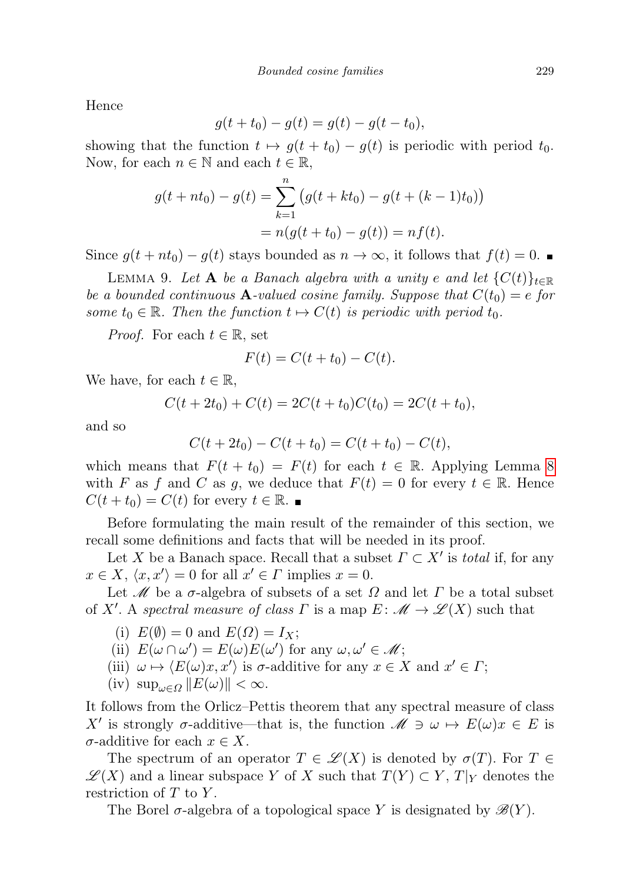Hence

$$
g(t + t_0) - g(t) = g(t) - g(t - t_0),
$$

showing that the function  $t \mapsto g(t + t_0) - g(t)$  is periodic with period  $t_0$ . Now, for each  $n \in \mathbb{N}$  and each  $t \in \mathbb{R}$ ,

$$
g(t + nt_0) - g(t) = \sum_{k=1}^{n} (g(t + kt_0) - g(t + (k - 1)t_0))
$$
  
=  $n(g(t + t_0) - g(t)) = nf(t).$ 

Since  $g(t + nt_0) - g(t)$  stays bounded as  $n \to \infty$ , it follows that  $f(t) = 0$ .

<span id="page-10-0"></span>LEMMA 9. Let **A** be a Banach algebra with a unity e and let  $\{C(t)\}_{t\in\mathbb{R}}$ be a bounded continuous **A**-valued cosine family. Suppose that  $C(t_0) = e$  for some  $t_0 \in \mathbb{R}$ . Then the function  $t \mapsto C(t)$  is periodic with period  $t_0$ .

*Proof.* For each  $t \in \mathbb{R}$ , set

$$
F(t) = C(t + t0) - C(t).
$$

We have, for each  $t \in \mathbb{R}$ ,

$$
C(t + 2t0) + C(t) = 2C(t + t0)C(t0) = 2C(t + t0),
$$

and so

$$
C(t + 2t_0) - C(t + t_0) = C(t + t_0) - C(t),
$$

which means that  $F(t + t_0) = F(t)$  for each  $t \in \mathbb{R}$ . Applying Lemma [8](#page-9-0) with F as f and C as g, we deduce that  $F(t) = 0$  for every  $t \in \mathbb{R}$ . Hence  $C(t + t_0) = C(t)$  for every  $t \in \mathbb{R}$ .

Before formulating the main result of the remainder of this section, we recall some definitions and facts that will be needed in its proof.

Let X be a Banach space. Recall that a subset  $\Gamma \subset X'$  is total if, for any  $x \in X$ ,  $\langle x, x' \rangle = 0$  for all  $x' \in \Gamma$  implies  $x = 0$ .

Let  $\mathcal M$  be a  $\sigma$ -algebra of subsets of a set  $\Omega$  and let  $\Gamma$  be a total subset of X'. A spectral measure of class  $\Gamma$  is a map  $E: \mathscr{M} \to \mathscr{L}(X)$  such that

- (i)  $E(\emptyset) = 0$  and  $E(\Omega) = I_X$ ;
- (ii)  $E(\omega \cap \omega') = E(\omega)E(\omega')$  for any  $\omega, \omega' \in \mathcal{M}$ ;
- (iii)  $\omega \mapsto \langle E(\omega)x, x'\rangle$  is  $\sigma$ -additive for any  $x \in X$  and  $x' \in \Gamma$ ;
- (iv)  $\sup_{\omega \in \Omega} ||E(\omega)|| < \infty$ .

It follows from the Orlicz–Pettis theorem that any spectral measure of class X' is strongly  $\sigma$ -additive—that is, the function  $\mathscr{M} \ni \omega \mapsto E(\omega)x \in E$  is  $\sigma$ -additive for each  $x \in X$ .

The spectrum of an operator  $T \in \mathscr{L}(X)$  is denoted by  $\sigma(T)$ . For  $T \in$  $\mathscr{L}(X)$  and a linear subspace Y of X such that  $T(Y) \subset Y$ ,  $T|_Y$  denotes the restriction of  $T$  to  $Y$ .

The Borel  $\sigma$ -algebra of a topological space Y is designated by  $\mathscr{B}(Y)$ .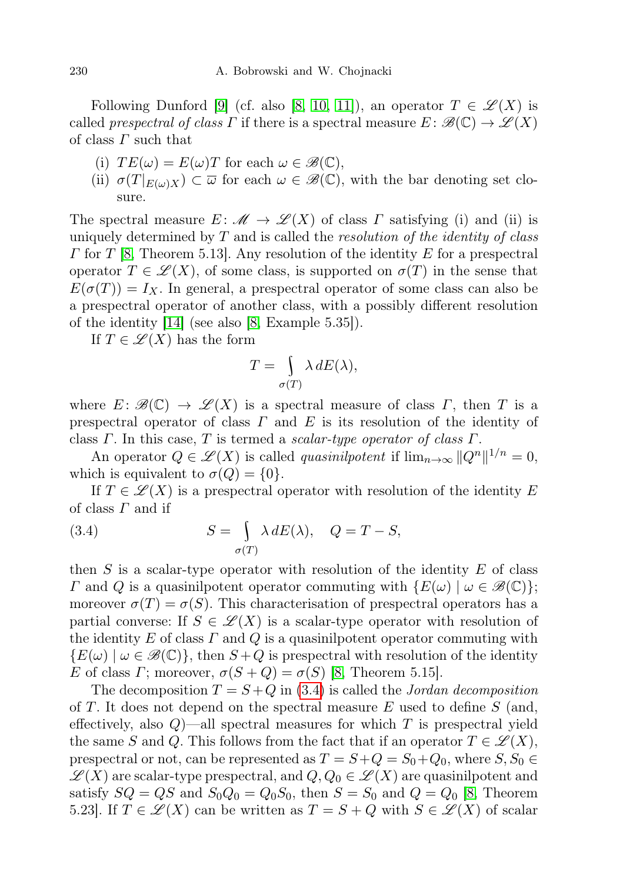Following Dunford [\[9\]](#page-21-7) (cf. also [\[8,](#page-21-8) [10,](#page-21-9) [11\]](#page-21-10)), an operator  $T \in \mathcal{L}(X)$  is called prespectral of class Γ if there is a spectral measure  $E: \mathcal{B}(\mathbb{C}) \to \mathcal{L}(X)$ of class  $\Gamma$  such that

- (i)  $TE(\omega) = E(\omega)T$  for each  $\omega \in \mathscr{B}(\mathbb{C}),$
- (ii)  $\sigma(T|_{E(\omega)X}) \subset \overline{\omega}$  for each  $\omega \in \mathscr{B}(\mathbb{C})$ , with the bar denoting set closure.

The spectral measure  $E: \mathscr{M} \to \mathscr{L}(X)$  of class  $\Gamma$  satisfying (i) and (ii) is uniquely determined by  $T$  and is called the *resolution of the identity of class*  $\Gamma$  for T [\[8,](#page-21-8) Theorem 5.13]. Any resolution of the identity E for a prespectral operator  $T \in \mathscr{L}(X)$ , of some class, is supported on  $\sigma(T)$  in the sense that  $E(\sigma(T)) = I_X$ . In general, a prespectral operator of some class can also be a prespectral operator of another class, with a possibly different resolution of the identity [\[14\]](#page-21-11) (see also [\[8,](#page-21-8) Example 5.35]).

If  $T \in \mathscr{L}(X)$  has the form

$$
T = \int_{\sigma(T)} \lambda \, dE(\lambda),
$$

where  $E: \mathscr{B}(\mathbb{C}) \to \mathscr{L}(X)$  is a spectral measure of class  $\Gamma$ , then  $T$  is a prespectral operator of class  $\Gamma$  and  $E$  is its resolution of the identity of class  $\Gamma$ . In this case,  $T$  is termed a scalar-type operator of class  $\Gamma$ .

An operator  $Q \in \mathscr{L}(X)$  is called *quasinilpotent* if  $\lim_{n \to \infty} ||Q^n||^{1/n} = 0$ , which is equivalent to  $\sigma(Q) = \{0\}.$ 

If  $T \in \mathscr{L}(X)$  is a prespectral operator with resolution of the identity E of class  $\Gamma$  and if

<span id="page-11-0"></span>(3.4) 
$$
S = \int_{\sigma(T)} \lambda \, dE(\lambda), \quad Q = T - S,
$$

then  $S$  is a scalar-type operator with resolution of the identity  $E$  of class  $Γ$  and  $Q$  is a quasinilpotent operator commuting with  ${E(ω) | ω ∈ \mathscr{B}(C)}$ ; moreover  $\sigma(T) = \sigma(S)$ . This characterisation of prespectral operators has a partial converse: If  $S \in \mathcal{L}(X)$  is a scalar-type operator with resolution of the identity E of class  $\Gamma$  and  $\overline{Q}$  is a quasinilpotent operator commuting with  ${E(\omega) \mid \omega \in \mathscr{B}(\mathbb{C})}$ , then  $S + Q$  is prespectral with resolution of the identity E of class  $\Gamma$ ; moreover,  $\sigma(S+Q) = \sigma(S)$  [\[8,](#page-21-8) Theorem 5.15].

The decomposition  $T = S + Q$  in [\(3.4\)](#page-11-0) is called the *Jordan decomposition* of  $T$ . It does not depend on the spectral measure  $E$  used to define  $S$  (and, effectively, also  $Q$ —all spectral measures for which T is prespectral yield the same S and Q. This follows from the fact that if an operator  $T \in \mathscr{L}(X)$ , prespectral or not, can be represented as  $T = S + Q = S_0 + Q_0$ , where  $S, S_0 \in$  $\mathscr{L}(X)$  are scalar-type prespectral, and  $Q, Q_0 \in \mathscr{L}(X)$  are quasinilpotent and satisfy  $SQ = QS$  and  $S_0Q_0 = Q_0S_0$ , then  $S = S_0$  and  $Q = Q_0$  [\[8,](#page-21-8) Theorem 5.23]. If  $T \in \mathcal{L}(X)$  can be written as  $T = S + Q$  with  $S \in \mathcal{L}(X)$  of scalar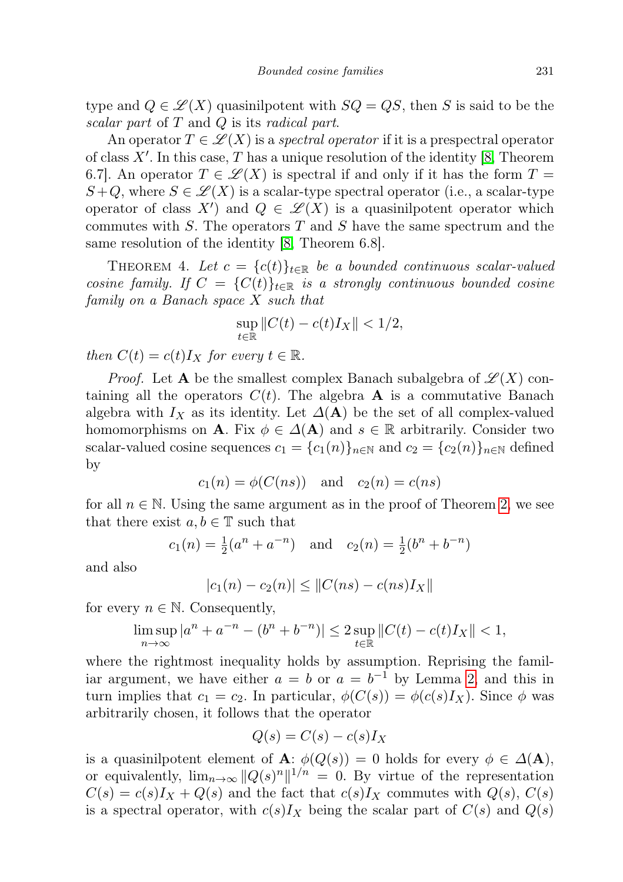type and  $Q \in \mathcal{L}(X)$  quasinilpotent with  $SQ = QS$ , then S is said to be the scalar part of T and Q is its radical part.

An operator  $T \in \mathscr{L}(X)$  is a spectral operator if it is a prespectral operator of class  $X'$ . In this case, T has a unique resolution of the identity [\[8,](#page-21-8) Theorem 6.7. An operator  $T \in \mathscr{L}(X)$  is spectral if and only if it has the form  $T =$  $S+Q$ , where  $S \in \mathcal{L}(X)$  is a scalar-type spectral operator (i.e., a scalar-type operator of class  $X'$  and  $Q \in \mathcal{L}(X)$  is a quasinilpotent operator which commutes with  $S$ . The operators  $T$  and  $S$  have the same spectrum and the same resolution of the identity [\[8,](#page-21-8) Theorem 6.8].

<span id="page-12-0"></span>THEOREM 4. Let  $c = \{c(t)\}_{t \in \mathbb{R}}$  be a bounded continuous scalar-valued cosine family. If  $C = {C(t)}_{t \in \mathbb{R}}$  is a strongly continuous bounded cosine family on a Banach space X such that

$$
\sup_{t \in \mathbb{R}} \|C(t) - c(t)I_X\| < 1/2,
$$

then  $C(t) = c(t)I_X$  for every  $t \in \mathbb{R}$ .

*Proof.* Let **A** be the smallest complex Banach subalgebra of  $\mathscr{L}(X)$  containing all the operators  $C(t)$ . The algebra **A** is a commutative Banach algebra with  $I_X$  as its identity. Let  $\Delta(A)$  be the set of all complex-valued homomorphisms on **A**. Fix  $\phi \in \Delta(\mathbf{A})$  and  $s \in \mathbb{R}$  arbitrarily. Consider two scalar-valued cosine sequences  $c_1 = \{c_1(n)\}_{n\in\mathbb{N}}$  and  $c_2 = \{c_2(n)\}_{n\in\mathbb{N}}$  defined by

$$
c_1(n) = \phi(C(ns)) \quad \text{and} \quad c_2(n) = c(ns)
$$

for all  $n \in \mathbb{N}$ . Using the same argument as in the proof of Theorem [2,](#page-5-1) we see that there exist  $a, b \in \mathbb{T}$  such that

$$
c_1(n) = \frac{1}{2}(a^n + a^{-n})
$$
 and  $c_2(n) = \frac{1}{2}(b^n + b^{-n})$ 

and also

$$
|c_1(n) - c_2(n)| \leq ||C(ns) - c(ns)I_X||
$$

for every  $n \in \mathbb{N}$ . Consequently,

$$
\limsup_{n \to \infty} |a^n + a^{-n} - (b^n + b^{-n})| \le 2 \sup_{t \in \mathbb{R}} ||C(t) - c(t)I_X|| < 1,
$$

where the rightmost inequality holds by assumption. Reprising the familiar argument, we have either  $a = b$  or  $a = b^{-1}$  by Lemma [2,](#page-5-0) and this in turn implies that  $c_1 = c_2$ . In particular,  $\phi(C(s)) = \phi(c(s)I_X)$ . Since  $\phi$  was arbitrarily chosen, it follows that the operator

$$
Q(s) = C(s) - c(s)I_X
$$

is a quasinilpotent element of **A**:  $\phi(Q(s)) = 0$  holds for every  $\phi \in \Delta(\mathbf{A}),$ or equivalently,  $\lim_{n\to\infty} ||Q(s)^n||^{1/n} = 0$ . By virtue of the representation  $C(s) = c(s)I_X + Q(s)$  and the fact that  $c(s)I_X$  commutes with  $Q(s)$ ,  $C(s)$ is a spectral operator, with  $c(s)I_X$  being the scalar part of  $C(s)$  and  $Q(s)$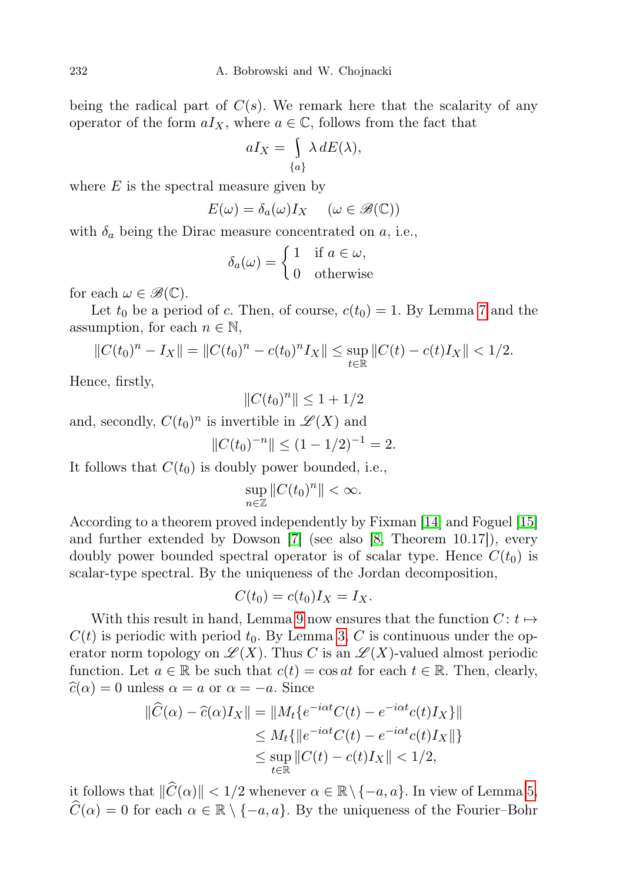being the radical part of  $C(s)$ . We remark here that the scalarity of any operator of the form  $aI_X$ , where  $a \in \mathbb{C}$ , follows from the fact that

$$
aI_X = \int\limits_{\{a\}} \lambda \, dE(\lambda),
$$

where  $E$  is the spectral measure given by

$$
E(\omega) = \delta_a(\omega) I_X \quad (\omega \in \mathscr{B}(\mathbb{C}))
$$

with  $\delta_a$  being the Dirac measure concentrated on a, i.e.,

$$
\delta_a(\omega) = \begin{cases} 1 & \text{if } a \in \omega, \\ 0 & \text{otherwise} \end{cases}
$$

for each  $\omega \in \mathscr{B}(\mathbb{C})$ .

Let  $t_0$  be a period of c. Then, of course,  $c(t_0) = 1$ . By Lemma [7](#page-9-1) and the assumption, for each  $n \in \mathbb{N}$ ,

$$
||C(t_0)^n - I_X|| = ||C(t_0)^n - c(t_0)^n I_X|| \le \sup_{t \in \mathbb{R}} ||C(t) - c(t)I_X|| < 1/2.
$$

Hence, firstly,

$$
||C(t_0)^n|| \le 1 + 1/2
$$

and, secondly,  $C(t_0)^n$  is invertible in  $\mathscr{L}(X)$  and

$$
||C(t_0)^{-n}|| \le (1 - 1/2)^{-1} = 2.
$$

It follows that  $C(t_0)$  is doubly power bounded, i.e.,

$$
\sup_{n\in\mathbb{Z}}\|C(t_0)^n\|<\infty.
$$

According to a theorem proved independently by Fixman [\[14\]](#page-21-11) and Foguel [\[15\]](#page-21-12) and further extended by Dowson  $|7|$  (see also  $|8$ , Theorem 10.17), every doubly power bounded spectral operator is of scalar type. Hence  $C(t_0)$  is scalar-type spectral. By the uniqueness of the Jordan decomposition,

$$
C(t_0) = c(t_0)I_X = I_X.
$$

With this result in hand, Lemma [9](#page-10-0) now ensures that the function  $C: t \mapsto$  $C(t)$  is periodic with period  $t_0$ . By Lemma [3,](#page-7-2) C is continuous under the operator norm topology on  $\mathscr{L}(X)$ . Thus C is an  $\mathscr{L}(X)$ -valued almost periodic function. Let  $a \in \mathbb{R}$  be such that  $c(t) = \cos at$  for each  $t \in \mathbb{R}$ . Then, clearly,  $\hat{c}(\alpha) = 0$  unless  $\alpha = a$  or  $\alpha = -a$ . Since

$$
\|\widehat{C}(\alpha) - \widehat{c}(\alpha)I_X\| = \|M_t\{e^{-i\alpha t}C(t) - e^{-i\alpha t}c(t)I_X\}\|
$$
  
\n
$$
\leq M_t\{\|e^{-i\alpha t}C(t) - e^{-i\alpha t}c(t)I_X\|\}
$$
  
\n
$$
\leq \sup_{t \in \mathbb{R}} \|C(t) - c(t)I_X\| < 1/2,
$$

it follows that  $\|\widehat{C}(\alpha)\| < 1/2$  whenever  $\alpha \in \mathbb{R} \setminus \{-a, a\}$ . In view of Lemma [5,](#page-8-2)  $\widehat{C}(\alpha) = 0$  for each  $\alpha \in \mathbb{R} \setminus \{-a, a\}$ . By the uniqueness of the Fourier–Bohr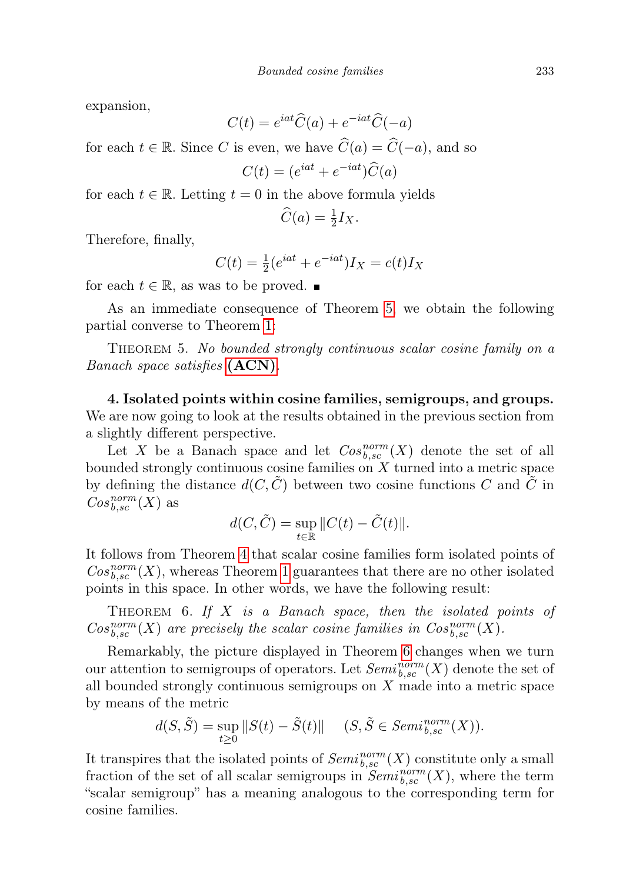expansion,

$$
C(t) = e^{iat}\widehat{C}(a) + e^{-iat}\widehat{C}(-a)
$$

for each  $t \in \mathbb{R}$ . Since C is even, we have  $\widehat{C}(a) = \widehat{C}(-a)$ , and so

$$
C(t) = (e^{iat} + e^{-iat})\widehat{C}(a)
$$

for each  $t \in \mathbb{R}$ . Letting  $t = 0$  in the above formula yields

$$
\widehat{C}(a) = \frac{1}{2}I_X.
$$

Therefore, finally,

$$
C(t) = \frac{1}{2}(e^{iat} + e^{-iat})I_X = c(t)I_X
$$

for each  $t \in \mathbb{R}$ , as was to be proved.  $\blacksquare$ 

As an immediate consequence of Theorem [5,](#page-14-0) we obtain the following partial converse to Theorem [1:](#page-4-1)

<span id="page-14-0"></span>THEOREM 5. No bounded strongly continuous scalar cosine family on a Banach space satisfies [\(ACN\)](#page-3-0).

4. Isolated points within cosine families, semigroups, and groups. We are now going to look at the results obtained in the previous section from a slightly different perspective.

Let X be a Banach space and let  $Cos_{b,sc}^{norm}(X)$  denote the set of all bounded strongly continuous cosine families on  $X$  turned into a metric space by defining the distance  $d(C, \tilde{C})$  between two cosine functions C and  $\tilde{C}$  in  $Cos_{b,sc}^{norm}(X)$  as

$$
d(C, \tilde{C}) = \sup_{t \in \mathbb{R}} ||C(t) - \tilde{C}(t)||.
$$

It follows from Theorem [4](#page-12-0) that scalar cosine families form isolated points of  $Cos_{b,sc}^{norm}(X)$ , whereas Theorem [1](#page-4-1) guarantees that there are no other isolated points in this space. In other words, we have the following result:

<span id="page-14-1"></span>THEOREM 6. If  $X$  is a Banach space, then the isolated points of  $Cos_{b,sc}^{norm}(X)$  are precisely the scalar cosine families in  $Cos_{b,sc}^{norm}(X)$ .

Remarkably, the picture displayed in Theorem [6](#page-14-1) changes when we turn our attention to semigroups of operators. Let  $Semil_{b,sc}^{norm}(X)$  denote the set of all bounded strongly continuous semigroups on  $X$  made into a metric space by means of the metric

$$
d(S, \tilde{S}) = \sup_{t \ge 0} ||S(t) - \tilde{S}(t)|| \quad (S, \tilde{S} \in Semi_{b, sc}^{norm}(X)).
$$

<span id="page-14-2"></span>It transpires that the isolated points of  $Semi<sub>b,sc</sub><sup>norm</sup>(X)$  constitute only a small fraction of the set of all scalar semigroups in  $Semi_{b,sc}^{norm}(X)$ , where the term "scalar semigroup" has a meaning analogous to the corresponding term for cosine families.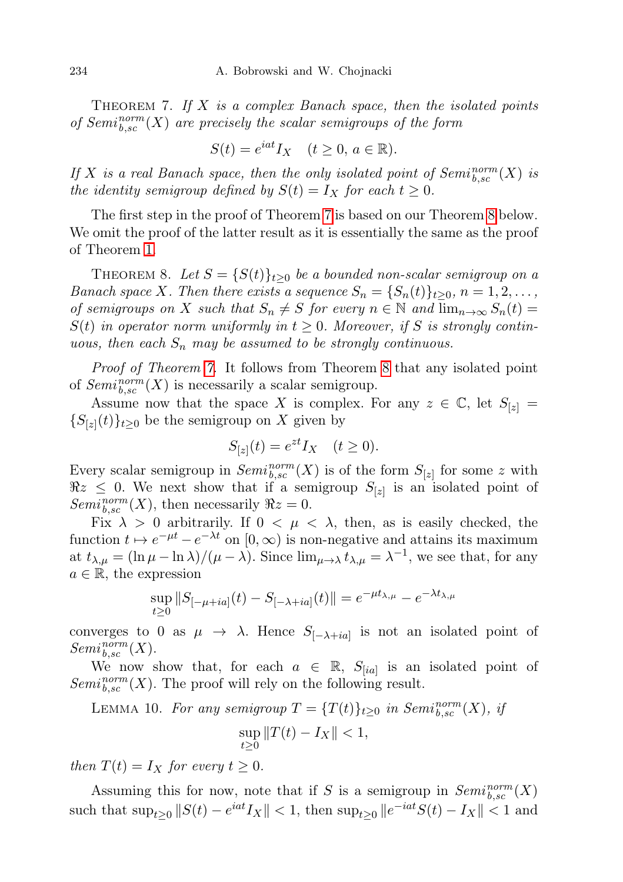THEOREM 7. If  $X$  is a complex Banach space, then the isolated points of  $Semi<sub>b,sc</sub><sup>norm</sup>(X)$  are precisely the scalar semigroups of the form

$$
S(t) = e^{iat}I_X \quad (t \ge 0, a \in \mathbb{R}).
$$

If X is a real Banach space, then the only isolated point of  $Semi_{b,sc}^{norm}(X)$  is the identity semigroup defined by  $S(t) = I_X$  for each  $t \geq 0$ .

The first step in the proof of Theorem [7](#page-14-2) is based on our Theorem [8](#page-15-0) below. We omit the proof of the latter result as it is essentially the same as the proof of Theorem [1.](#page-4-1)

<span id="page-15-0"></span>THEOREM 8. Let  $S = \{S(t)\}_{t\geq 0}$  be a bounded non-scalar semigroup on a Banach space X. Then there exists a sequence  $S_n = \{S_n(t)\}_{t\geq 0}, n = 1, 2, \ldots$ , of semigroups on X such that  $S_n \neq S$  for every  $n \in \mathbb{N}$  and  $\lim_{n \to \infty} S_n(t) =$  $S(t)$  in operator norm uniformly in  $t \geq 0$ . Moreover, if S is strongly continuous, then each  $S_n$  may be assumed to be strongly continuous.

Proof of Theorem [7.](#page-14-2) It follows from Theorem [8](#page-15-0) that any isolated point of  $Semil<sub>b,sc</sub><sup>norm</sup>(X)$  is necessarily a scalar semigroup.

Assume now that the space X is complex. For any  $z \in \mathbb{C}$ , let  $S_{[z]} =$  $\{S_{[z]}(t)\}_{t\geq 0}$  be the semigroup on X given by

$$
S_{[z]}(t) = e^{zt} I_X \quad (t \ge 0).
$$

Every scalar semigroup in  $Semil<sub>b,sc</sub>^{norm}(X)$  is of the form  $S_{[z]}$  for some z with  $\Re z \leq 0$ . We next show that if a semigroup  $S_{[z]}$  is an isolated point of  $Semil_{b,sc}^{norm}(X)$ , then necessarily  $\Re z = 0$ .

Fix  $\lambda > 0$  arbitrarily. If  $0 < \mu < \lambda$ , then, as is easily checked, the function  $t \mapsto e^{-\mu t} - e^{-\lambda t}$  on  $[0, \infty)$  is non-negative and attains its maximum at  $t_{\lambda,\mu} = (\ln \mu - \ln \lambda)/(\mu - \lambda)$ . Since  $\lim_{\mu \to \lambda} t_{\lambda,\mu} = \lambda^{-1}$ , we see that, for any  $a \in \mathbb{R}$ , the expression

$$
\sup_{t \ge 0} \|S_{[-\mu + ia]}(t) - S_{[-\lambda + ia]}(t)\| = e^{-\mu t_{\lambda, \mu}} - e^{-\lambda t_{\lambda, \mu}}
$$

converges to 0 as  $\mu \to \lambda$ . Hence  $S_{[-\lambda + i a]}$  is not an isolated point of  $Semi<sub>b,sc</sub><sup>norm</sup>(X).$ 

We now show that, for each  $a \in \mathbb{R}$ ,  $S_{[ia]}$  is an isolated point of  $Semi<sub>b,sc</sub><sup>norm</sup>(X)$ . The proof will rely on the following result.

<span id="page-15-1"></span>LEMMA 10. For any semigroup  $T = {T(t)}_{t\geq0}$  in  $Semi_{b,sc}^{norm}(X)$ , if

$$
\sup_{t\geq 0} \|T(t) - I_X\| < 1,
$$

then  $T(t) = I_X$  for every  $t \geq 0$ .

Assuming this for now, note that if S is a semigroup in  $Semil_{b,sc}^{norm}(X)$ such that  $\sup_{t\geq 0} ||S(t) - e^{iat}I_X|| < 1$ , then  $\sup_{t\geq 0} ||e^{-iat}S(t) - I_X|| < 1$  and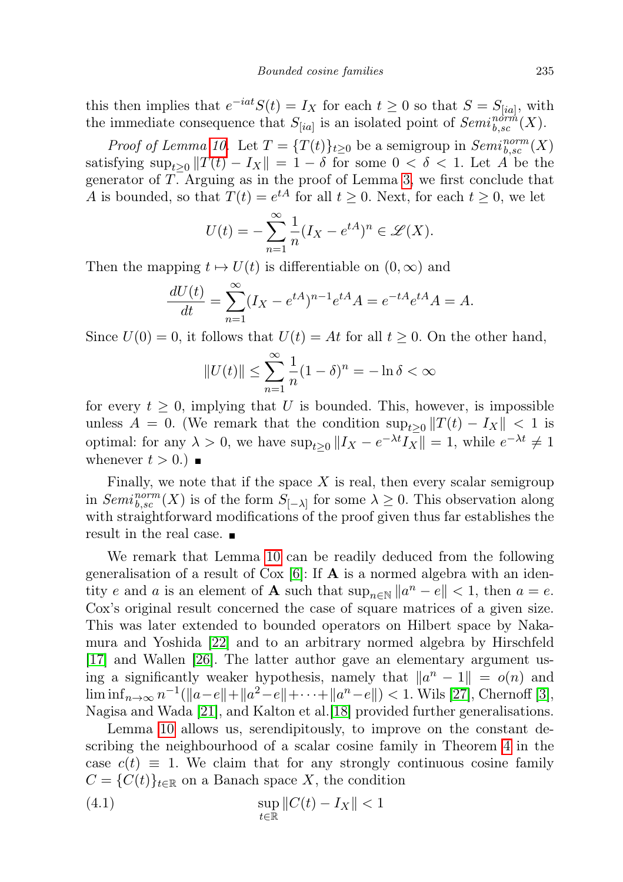this then implies that  $e^{-iat}S(t) = I_X$  for each  $t \geq 0$  so that  $S = S_{[ia]},$  with the immediate consequence that  $S_{[ia]}$  is an isolated point of  $Semih, sc(X)$ .

*Proof of Lemma [10.](#page-15-1)* Let  $T = {T(t)}_{t\geq 0}$  be a semigroup in  $Semil_{b,sc}^{norm}(X)$ satisfying  $\sup_{t>0} ||T(t) - I_X|| = 1 - \delta$  for some  $0 < \delta < 1$ . Let A be the generator of  $T$ . Arguing as in the proof of Lemma [3,](#page-7-2) we first conclude that A is bounded, so that  $T(t) = e^{tA}$  for all  $t \geq 0$ . Next, for each  $t \geq 0$ , we let

$$
U(t) = -\sum_{n=1}^{\infty} \frac{1}{n} (I_X - e^{tA})^n \in \mathcal{L}(X).
$$

Then the mapping  $t \mapsto U(t)$  is differentiable on  $(0, \infty)$  and

$$
\frac{dU(t)}{dt} = \sum_{n=1}^{\infty} (I_X - e^{tA})^{n-1} e^{tA} A = e^{-tA} e^{tA} A = A.
$$

Since  $U(0) = 0$ , it follows that  $U(t) = At$  for all  $t \geq 0$ . On the other hand,

$$
||U(t)|| \le \sum_{n=1}^{\infty} \frac{1}{n} (1 - \delta)^n = -\ln \delta < \infty
$$

for every  $t \geq 0$ , implying that U is bounded. This, however, is impossible unless  $A = 0$ . (We remark that the condition sup<sub>t</sub><sub>>0</sub>  $||T(t) - I_X|| < 1$  is optimal: for any  $\lambda > 0$ , we have  $\sup_{t \geq 0} ||I_X - e^{-\lambda t}I_X|| = 1$ , while  $e^{-\lambda t} \neq 1$ whenever  $t > 0$ .

Finally, we note that if the space  $X$  is real, then every scalar semigroup in  $Semi_{b,sc}^{norm}(X)$  is of the form  $S_{[-\lambda]}$  for some  $\lambda \geq 0$ . This observation along with straightforward modifications of the proof given thus far establishes the result in the real case.

We remark that Lemma [10](#page-15-1) can be readily deduced from the following generalisation of a result of  $Cox$  [\[6\]](#page-21-14): If **A** is a normed algebra with an identity e and a is an element of **A** such that  $\sup_{n \in \mathbb{N}} ||a^n - e|| < 1$ , then  $a = e$ . Cox's original result concerned the case of square matrices of a given size. This was later extended to bounded operators on Hilbert space by Nakamura and Yoshida [\[22\]](#page-22-1) and to an arbitrary normed algebra by Hirschfeld [\[17\]](#page-21-15) and Wallen [\[26\]](#page-22-2). The latter author gave an elementary argument using a significantly weaker hypothesis, namely that  $\|a^n - 1\| = o(n)$  and  $\liminf_{n\to\infty} n^{-1}(\|a-e\|+\|a^2-e\|+\cdots+\|a^n-e\|) < 1.$  Wils [\[27\]](#page-22-3), Chernoff [\[3\]](#page-21-16), Nagisa and Wada [\[21\]](#page-22-4), and Kalton et al.[\[18\]](#page-22-5) provided further generalisations.

Lemma [10](#page-15-1) allows us, serendipitously, to improve on the constant describing the neighbourhood of a scalar cosine family in Theorem [4](#page-12-0) in the case  $c(t) \equiv 1$ . We claim that for any strongly continuous cosine family  $C = \{C(t)\}_{t \in \mathbb{R}}$  on a Banach space X, the condition

<span id="page-16-0"></span>
$$
\sup_{t \in \mathbb{R}} \|C(t) - I_X\| < 1
$$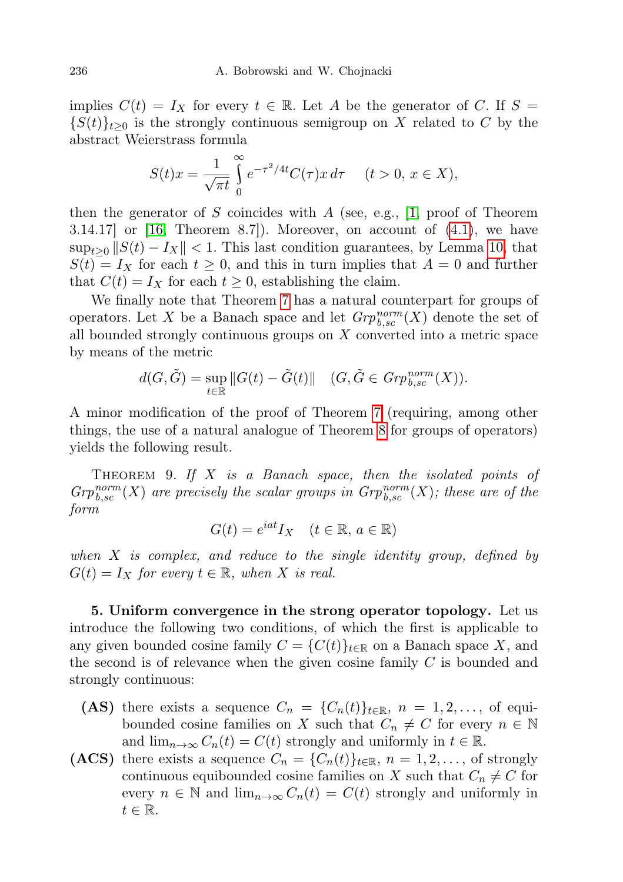implies  $C(t) = I_X$  for every  $t \in \mathbb{R}$ . Let A be the generator of C. If  $S =$  $\{S(t)\}_{t\geq 0}$  is the strongly continuous semigroup on X related to C by the abstract Weierstrass formula

$$
S(t)x = \frac{1}{\sqrt{\pi t}} \int_{0}^{\infty} e^{-\tau^2/4t} C(\tau)x d\tau \quad (t > 0, x \in X),
$$

then the generator of S coincides with A (see, e.g., [\[1,](#page-21-1) proof of Theorem  $3.14.17$  or  $[16,$  Theorem 8.7.]). Moreover, on account of  $(4.1)$ , we have  $\sup_{t>0} ||S(t) - I_X|| < 1$ . This last condition guarantees, by Lemma [10,](#page-15-1) that  $S(t) = I_X$  for each  $t \geq 0$ , and this in turn implies that  $A = 0$  and further that  $C(t) = I_X$  for each  $t \geq 0$ , establishing the claim.

We finally note that Theorem [7](#page-14-2) has a natural counterpart for groups of operators. Let X be a Banach space and let  $Grp_{b,sc}^{norm}(X)$  denote the set of all bounded strongly continuous groups on X converted into a metric space by means of the metric

$$
d(G, \tilde{G}) = \sup_{t \in \mathbb{R}} \|G(t) - \tilde{G}(t)\| \quad (G, \tilde{G} \in Grp_{b,sc}^{norm}(X)).
$$

A minor modification of the proof of Theorem [7](#page-14-2) (requiring, among other things, the use of a natural analogue of Theorem [8](#page-15-0) for groups of operators) yields the following result.

<span id="page-17-2"></span>THEOREM 9. If  $X$  is a Banach space, then the isolated points of  $Grp_{b,sc}^{norm}(X)$  are precisely the scalar groups in  $Grp_{b,sc}^{norm}(X)$ ; these are of the form

$$
G(t) = e^{iat} I_X \quad (t \in \mathbb{R}, \, a \in \mathbb{R})
$$

when  $X$  is complex, and reduce to the single identity group, defined by  $G(t) = I_X$  for every  $t \in \mathbb{R}$ , when X is real.

5. Uniform convergence in the strong operator topology. Let us introduce the following two conditions, of which the first is applicable to any given bounded cosine family  $C = \{C(t)\}_{t\in\mathbb{R}}$  on a Banach space X, and the second is of relevance when the given cosine family C is bounded and strongly continuous:

- <span id="page-17-0"></span>(AS) there exists a sequence  $C_n = \{C_n(t)\}_{t\in\mathbb{R}}$ ,  $n = 1, 2, \ldots$ , of equibounded cosine families on X such that  $C_n \neq C$  for every  $n \in \mathbb{N}$ and  $\lim_{n\to\infty} C_n(t) = C(t)$  strongly and uniformly in  $t \in \mathbb{R}$ .
- <span id="page-17-1"></span>(ACS) there exists a sequence  $C_n = \{C_n(t)\}_{t\in\mathbb{R}}$ ,  $n = 1, 2, \ldots$ , of strongly continuous equibounded cosine families on X such that  $C_n \neq C$  for every  $n \in \mathbb{N}$  and  $\lim_{n\to\infty} C_n(t) = C(t)$  strongly and uniformly in  $t\in\mathbb{R}$ .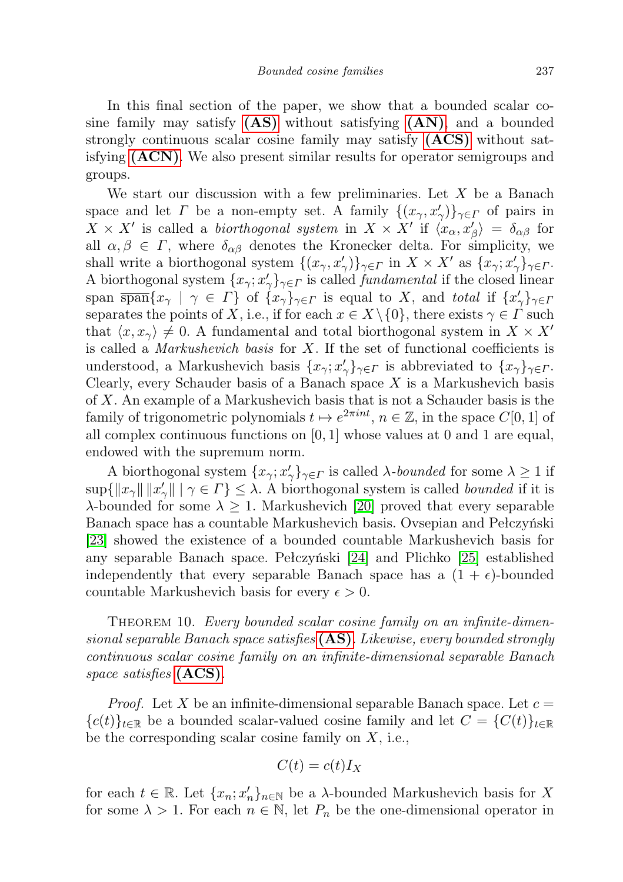In this final section of the paper, we show that a bounded scalar cosine family may satisfy  $(AS)$  without satisfying  $(AN)$ , and a bounded strongly continuous scalar cosine family may satisfy [\(ACS\)](#page-17-1) without satisfying [\(ACN\)](#page-3-0). We also present similar results for operator semigroups and groups.

We start our discussion with a few preliminaries. Let  $X$  be a Banach space and let  $\Gamma$  be a non-empty set. A family  $\{(x_{\gamma}, x'_{\gamma})\}_{\gamma \in \Gamma}$  of pairs in  $X \times X'$  is called a *biorthogonal system* in  $X \times X'$  if  $\langle x_\alpha, x'_\beta \rangle = \delta_{\alpha\beta}$  for all  $\alpha, \beta \in \Gamma$ , where  $\delta_{\alpha\beta}$  denotes the Kronecker delta. For simplicity, we shall write a biorthogonal system  $\{(x_{\gamma}, x'_{\gamma})\}_{\gamma \in \Gamma}$  in  $X \times X'$  as  $\{x_{\gamma}; x'_{\gamma}\}_{\gamma \in \Gamma}$ . A biorthogonal system  $\{x_{\gamma}; x_{\gamma}'\}_{\gamma \in \Gamma}$  is called *fundamental* if the closed linear span  $\overline{\text{span}}\{x_{\gamma} \mid \gamma \in \Gamma\}$  of  $\{x_{\gamma}\}_{\gamma \in \Gamma}$  is equal to X, and total if  $\{x_{\gamma}'\}_{\gamma \in \Gamma}$ separates the points of X, i.e., if for each  $x \in X \setminus \{0\}$ , there exists  $\gamma \in \Gamma$  such that  $\langle x, x_{\gamma} \rangle \neq 0$ . A fundamental and total biorthogonal system in  $X \times X'$ is called a *Markushevich basis* for  $X$ . If the set of functional coefficients is understood, a Markushevich basis  $\{x_{\gamma}; x_{\gamma}'\}_{\gamma \in \Gamma}$  is abbreviated to  $\{x_{\gamma}\}_{\gamma \in \Gamma}$ . Clearly, every Schauder basis of a Banach space  $X$  is a Markushevich basis of  $X$ . An example of a Markushevich basis that is not a Schauder basis is the family of trigonometric polynomials  $t \mapsto e^{2\pi int}$ ,  $n \in \mathbb{Z}$ , in the space  $C[0, 1]$  of all complex continuous functions on [0, 1] whose values at 0 and 1 are equal, endowed with the supremum norm.

A biorthogonal system  $\{x_{\gamma}; x'_{\gamma}\}_{\gamma \in \Gamma}$  is called  $\lambda$ -bounded for some  $\lambda \geq 1$  if  $\sup\{\|x_\gamma\| \, \|x'_\gamma\| \mid \gamma \in \Gamma\} \leq \lambda$ . A biorthogonal system is called bounded if it is λ-bounded for some  $\lambda \geq 1$ . Markushevich [\[20\]](#page-22-6) proved that every separable Banach space has a countable Markushevich basis. Ovsepian and Pełczyński [\[23\]](#page-22-7) showed the existence of a bounded countable Markushevich basis for any separable Banach space. Pełczyński [\[24\]](#page-22-8) and Plichko [\[25\]](#page-22-9) established independently that every separable Banach space has a  $(1 + \epsilon)$ -bounded countable Markushevich basis for every  $\epsilon > 0$ .

<span id="page-18-0"></span>THEOREM 10. Every bounded scalar cosine family on an infinite-dimensional separable Banach space satisfies  $(AS)$ . Likewise, every bounded strongly continuous scalar cosine family on an infinite-dimensional separable Banach space satisfies  $(ACS)$ .

*Proof.* Let X be an infinite-dimensional separable Banach space. Let  $c =$  ${c(t)}_{t\in\mathbb{R}}$  be a bounded scalar-valued cosine family and let  $C = {C(t)}_{t\in\mathbb{R}}$ be the corresponding scalar cosine family on  $X$ , i.e.,

$$
C(t) = c(t)I_X
$$

for each  $t \in \mathbb{R}$ . Let  $\{x_n; x'_n\}_{n \in \mathbb{N}}$  be a  $\lambda$ -bounded Markushevich basis for X for some  $\lambda > 1$ . For each  $n \in \mathbb{N}$ , let  $P_n$  be the one-dimensional operator in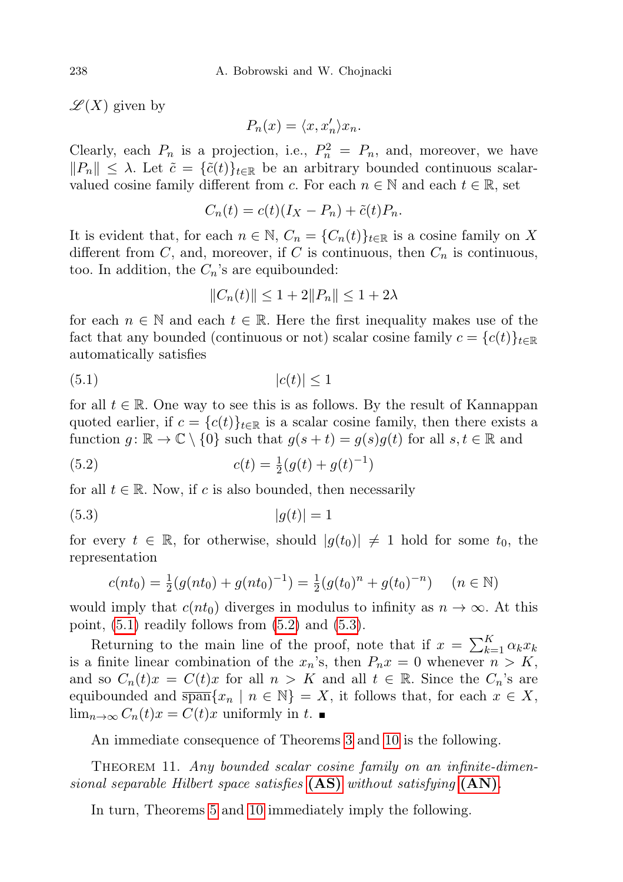$\mathscr{L}(X)$  given by

$$
P_n(x) = \langle x, x_n' \rangle x_n.
$$

Clearly, each  $P_n$  is a projection, i.e.,  $P_n^2 = P_n$ , and, moreover, we have  $||P_n|| \leq \lambda$ . Let  $\tilde{c} = {\tilde{c}(t)}_{t \in \mathbb{R}}$  be an arbitrary bounded continuous scalarvalued cosine family different from c. For each  $n \in \mathbb{N}$  and each  $t \in \mathbb{R}$ , set

$$
C_n(t) = c(t)(I_X - P_n) + \tilde{c}(t)P_n.
$$

It is evident that, for each  $n \in \mathbb{N}$ ,  $C_n = \{C_n(t)\}_{t \in \mathbb{R}}$  is a cosine family on X different from  $C$ , and, moreover, if  $C$  is continuous, then  $C_n$  is continuous, too. In addition, the  $C_n$ 's are equibounded:

<span id="page-19-0"></span>
$$
||C_n(t)|| \le 1 + 2||P_n|| \le 1 + 2\lambda
$$

for each  $n \in \mathbb{N}$  and each  $t \in \mathbb{R}$ . Here the first inequality makes use of the fact that any bounded (continuous or not) scalar cosine family  $c = \{c(t)\}_{t\in\mathbb{R}}$ automatically satisfies

$$
(5.1) \t\t |c(t)| \le 1
$$

for all  $t \in \mathbb{R}$ . One way to see this is as follows. By the result of Kannappan quoted earlier, if  $c = \{c(t)\}_{t \in \mathbb{R}}$  is a scalar cosine family, then there exists a function  $g: \mathbb{R} \to \mathbb{C} \setminus \{0\}$  such that  $g(s+t) = g(s)g(t)$  for all  $s, t \in \mathbb{R}$  and

<span id="page-19-1"></span>(5.2) 
$$
c(t) = \frac{1}{2}(g(t) + g(t)^{-1})
$$

for all  $t \in \mathbb{R}$ . Now, if c is also bounded, then necessarily

$$
(5.3) \t\t |g(t)| = 1
$$

for every  $t \in \mathbb{R}$ , for otherwise, should  $|g(t_0)| \neq 1$  hold for some  $t_0$ , the representation

<span id="page-19-2"></span>
$$
c(nt_0) = \frac{1}{2}(g(nt_0) + g(nt_0)^{-1}) = \frac{1}{2}(g(t_0)^n + g(t_0)^{-n}) \quad (n \in \mathbb{N})
$$

would imply that  $c(nt_0)$  diverges in modulus to infinity as  $n \to \infty$ . At this point,  $(5.1)$  readily follows from  $(5.2)$  and  $(5.3)$ .

Returning to the main line of the proof, note that if  $x = \sum_{k=1}^{K} \alpha_k x_k$ is a finite linear combination of the  $x_n$ 's, then  $P_nx = 0$  whenever  $n > K$ , and so  $C_n(t)x = C(t)x$  for all  $n > K$  and all  $t \in \mathbb{R}$ . Since the  $C_n$ 's are equibounded and  $\overline{\text{span}}\{x_n \mid n \in \mathbb{N}\}=X$ , it follows that, for each  $x \in X$ ,  $\lim_{n\to\infty}C_n(t)x=C(t)x$  uniformly in t.

An immediate consequence of Theorems [3](#page-7-0) and [10](#page-18-0) is the following.

THEOREM 11. Any bounded scalar cosine family on an infinite-dimensional separable Hilbert space satisfies  $(AS)$  without satisfying  $(AN)$ .

In turn, Theorems [5](#page-14-0) and [10](#page-18-0) immediately imply the following.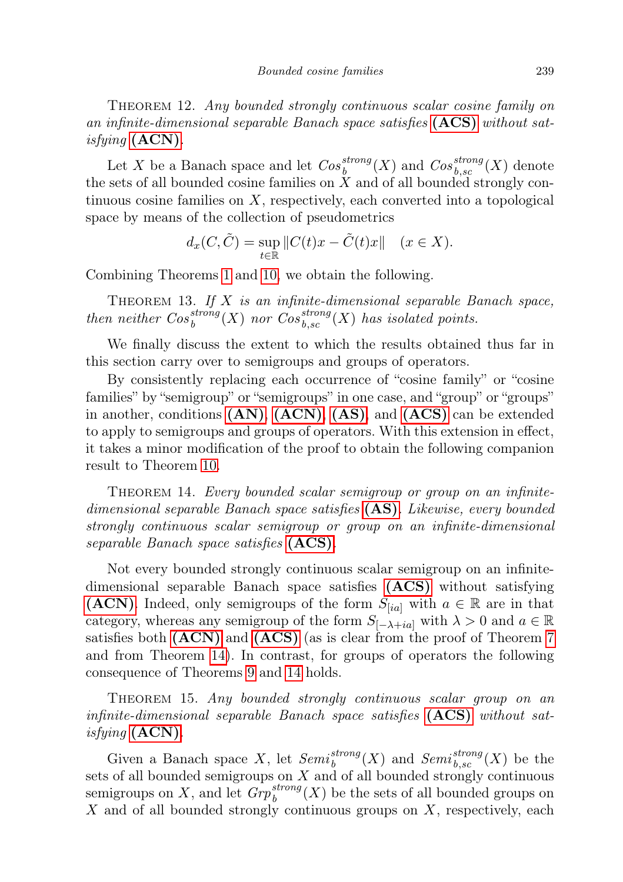THEOREM 12. Any bounded strongly continuous scalar cosine family on an infinite-dimensional separable Banach space satisfies  $(ACS)$  without satisfying [\(ACN\)](#page-3-0).

Let X be a Banach space and let  $\mathit{Cos}_{b}^{strong}(X)$  and  $\mathit{Cos}_{b,sc}^{strong}(X)$  denote the sets of all bounded cosine families on  $X$  and of all bounded strongly continuous cosine families on  $X$ , respectively, each converted into a topological space by means of the collection of pseudometrics

$$
d_x(C, \tilde{C}) = \sup_{t \in \mathbb{R}} \|C(t)x - \tilde{C}(t)x\| \quad (x \in X).
$$

Combining Theorems [1](#page-4-1) and [10,](#page-18-0) we obtain the following.

THEOREM 13. If  $X$  is an infinite-dimensional separable Banach space, then neither  $Cos_b^{strong}(X)$  nor  $Cos_{b,sc}^{strong}(X)$  has isolated points.

We finally discuss the extent to which the results obtained thus far in this section carry over to semigroups and groups of operators.

By consistently replacing each occurrence of "cosine family" or "cosine families" by "semigroup" or "semigroups" in one case, and "group" or "groups" in another, conditions  $(AN)$ ,  $(ACN)$ ,  $(AS)$ , and  $(ACS)$  can be extended to apply to semigroups and groups of operators. With this extension in effect, it takes a minor modification of the proof to obtain the following companion result to Theorem [10.](#page-18-0)

<span id="page-20-0"></span>THEOREM 14. Every bounded scalar semigroup or group on an infinitedimensional separable Banach space satisfies  $(AS)$ . Likewise, every bounded strongly continuous scalar semigroup or group on an infinite-dimensional separable Banach space satisfies [\(ACS\)](#page-17-1).

Not every bounded strongly continuous scalar semigroup on an infinitedimensional separable Banach space satisfies [\(ACS\)](#page-17-1) without satisfying [\(ACN\)](#page-3-0). Indeed, only semigroups of the form  $S_{[ia]}$  with  $a \in \mathbb{R}$  are in that category, whereas any semigroup of the form  $S_{[-\lambda + ia]}$  with  $\lambda > 0$  and  $a \in \mathbb{R}$ satisfies both  $(ACN)$  and  $(ACS)$  (as is clear from the proof of Theorem [7](#page-14-2) and from Theorem [14\)](#page-20-0). In contrast, for groups of operators the following consequence of Theorems [9](#page-17-2) and [14](#page-20-0) holds.

THEOREM 15. Any bounded strongly continuous scalar group on an infinite-dimensional separable Banach space satisfies  $(ACS)$  without satisfying [\(ACN\)](#page-3-0).

Given a Banach space X, let  $Semi<sub>b</sub><sup>strong</sup>(X)$  and  $Semi<sub>b,sc</sub><sup>strong</sup>(X)$  be the sets of all bounded semigroups on  $X$  and of all bounded strongly continuous semigroups on X, and let  $Grp_b^{strong}(X)$  be the sets of all bounded groups on  $X$  and of all bounded strongly continuous groups on  $X$ , respectively, each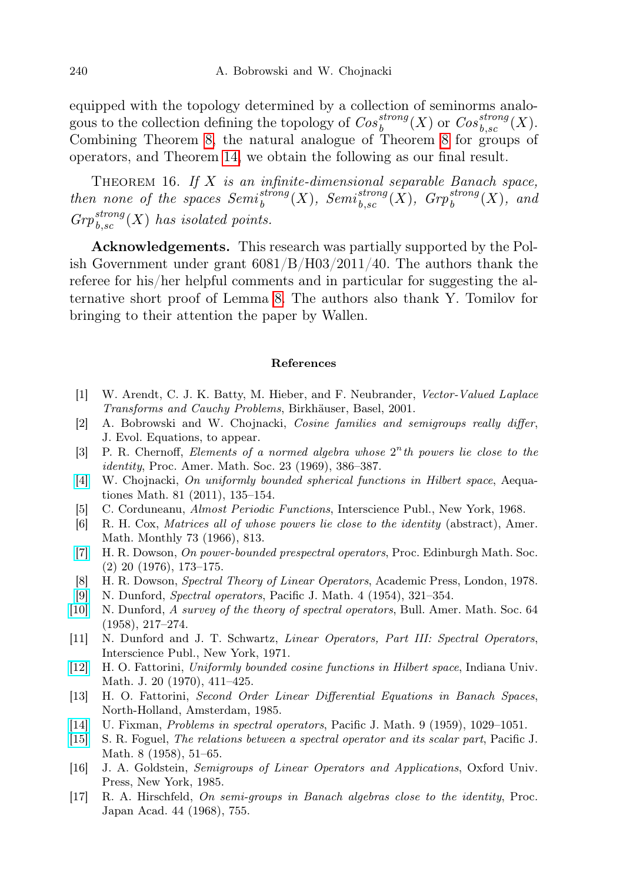equipped with the topology determined by a collection of seminorms analogous to the collection defining the topology of  $Cos_b^{strong}(X)$  or  $Cos_{b,sc}^{strong}(X)$ . Combining Theorem [8,](#page-15-0) the natural analogue of Theorem [8](#page-15-0) for groups of operators, and Theorem [14,](#page-20-0) we obtain the following as our final result.

THEOREM 16. If  $X$  is an infinite-dimensional separable Banach space, then none of the spaces  $Semif_b^{strong}(X)$ ,  $Semif_{b,sc}^{strong}(X)$ ,  $Grp_b^{strong}(X)$ , and  $Grp_{b,sc}^{strong}(X)$  has isolated points.

Acknowledgements. This research was partially supported by the Polish Government under grant  $6081/B/H03/2011/40$ . The authors thank the referee for his/her helpful comments and in particular for suggesting the alternative short proof of Lemma [8.](#page-9-0) The authors also thank Y. Tomilov for bringing to their attention the paper by Wallen.

## References

- <span id="page-21-1"></span>[1] W. Arendt, C. J. K. Batty, M. Hieber, and F. Neubrander, Vector-Valued Laplace Transforms and Cauchy Problems, Birkhäuser, Basel, 2001.
- <span id="page-21-0"></span>[2] A. Bobrowski and W. Chojnacki, Cosine families and semigroups really differ, J. Evol. Equations, to appear.
- <span id="page-21-16"></span>[3] P. R. Chernoff, Elements of a normed algebra whose  $2<sup>n</sup>$ th powers lie close to the identity, Proc. Amer. Math. Soc. 23 (1969), 386–387.
- <span id="page-21-6"></span>[\[4\]](http://dx.doi.org/10.1007/s00010-010-0037-y) W. Chojnacki, On uniformly bounded spherical functions in Hilbert space, Aequationes Math. 81 (2011), 135–154.
- <span id="page-21-4"></span>[5] C. Corduneanu, Almost Periodic Functions, Interscience Publ., New York, 1968.
- <span id="page-21-14"></span>[6] R. H. Cox, Matrices all of whose powers lie close to the identity (abstract), Amer. Math. Monthly 73 (1966), 813.
- <span id="page-21-13"></span>[\[7\]](http://dx.doi.org/10.1017/S0013091500010701) H. R. Dowson, On power-bounded prespectral operators, Proc. Edinburgh Math. Soc. (2) 20 (1976), 173–175.
- <span id="page-21-8"></span>[8] H. R. Dowson, Spectral Theory of Linear Operators, Academic Press, London, 1978.
- <span id="page-21-7"></span>[\[9\]](http://dx.doi.org/10.2140/pjm.1954.4.321) N. Dunford, Spectral operators, Pacific J. Math. 4 (1954), 321–354.
- <span id="page-21-9"></span>[\[10\]](http://dx.doi.org/10.1090/S0002-9904-1958-10219-0) N. Dunford, A survey of the theory of spectral operators, Bull. Amer. Math. Soc. 64 (1958), 217–274.
- <span id="page-21-10"></span>[11] N. Dunford and J. T. Schwartz, Linear Operators, Part III: Spectral Operators, Interscience Publ., New York, 1971.
- <span id="page-21-5"></span>[\[12\]](http://dx.doi.org/10.1512/iumj.1971.20.20035) H. O. Fattorini, Uniformly bounded cosine functions in Hilbert space, Indiana Univ. Math. J. 20 (1970), 411–425.
- <span id="page-21-2"></span>[13] H. O. Fattorini, Second Order Linear Differential Equations in Banach Spaces, North-Holland, Amsterdam, 1985.
- <span id="page-21-11"></span>[\[14\]](http://dx.doi.org/10.2140/pjm.1959.9.1029) U. Fixman, Problems in spectral operators, Pacific J. Math. 9 (1959), 1029–1051.
- <span id="page-21-12"></span>[\[15\]](http://dx.doi.org/10.2140/pjm.1958.8.51) S. R. Foguel, The relations between a spectral operator and its scalar part, Pacific J. Math. 8 (1958), 51–65.
- <span id="page-21-3"></span>[16] J. A. Goldstein, Semigroups of Linear Operators and Applications, Oxford Univ. Press, New York, 1985.
- <span id="page-21-15"></span>[17] R. A. Hirschfeld, On semi-groups in Banach algebras close to the identity, Proc. Japan Acad. 44 (1968), 755.